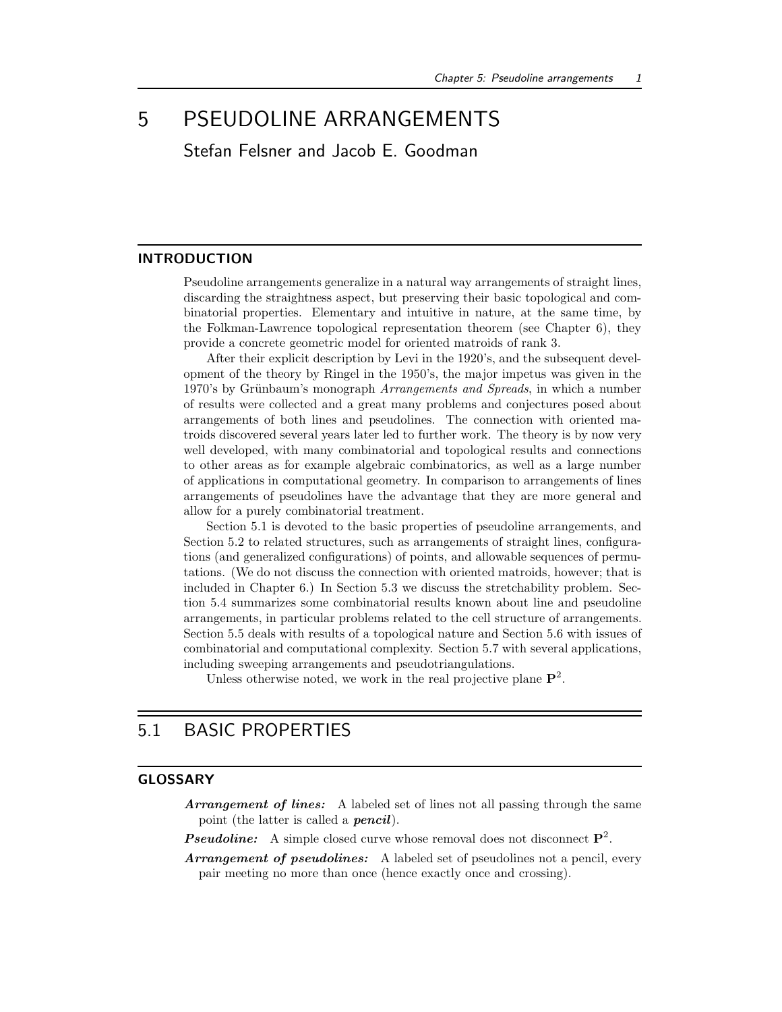# 5 PSEUDOLINE ARRANGEMENTS

Stefan Felsner and Jacob E. Goodman

## **INTRODUCTION**

Pseudoline arrangements generalize in a natural way arrangements of straight lines, discarding the straightness aspect, but preserving their basic topological and combinatorial properties. Elementary and intuitive in nature, at the same time, by the Folkman-Lawrence topological representation theorem (see Chapter 6), they provide a concrete geometric model for oriented matroids of rank 3.

After their explicit description by Levi in the 1920's, and the subsequent development of the theory by Ringel in the 1950's, the major impetus was given in the 1970's by Grünbaum's monograph Arrangements and Spreads, in which a number of results were collected and a great many problems and conjectures posed about arrangements of both lines and pseudolines. The connection with oriented matroids discovered several years later led to further work. The theory is by now very well developed, with many combinatorial and topological results and connections to other areas as for example algebraic combinatorics, as well as a large number of applications in computational geometry. In comparison to arrangements of lines arrangements of pseudolines have the advantage that they are more general and allow for a purely combinatorial treatment.

Section 5.1 is devoted to the basic properties of pseudoline arrangements, and Section 5.2 to related structures, such as arrangements of straight lines, configurations (and generalized configurations) of points, and allowable sequences of permutations. (We do not discuss the connection with oriented matroids, however; that is included in Chapter 6.) In Section 5.3 we discuss the stretchability problem. Section 5.4 summarizes some combinatorial results known about line and pseudoline arrangements, in particular problems related to the cell structure of arrangements. Section 5.5 deals with results of a topological nature and Section 5.6 with issues of combinatorial and computational complexity. Section 5.7 with several applications, including sweeping arrangements and pseudotriangulations.

Unless otherwise noted, we work in the real projective plane  $\mathbf{P}^2$ .

## 5.1 BASIC PROPERTIES

## GLOSSARY

Arrangement of lines: A labeled set of lines not all passing through the same point (the latter is called a **pencil**).

**Pseudoline:** A simple closed curve whose removal does not disconnect  $P^2$ .

Arrangement of pseudolines: A labeled set of pseudolines not a pencil, every pair meeting no more than once (hence exactly once and crossing).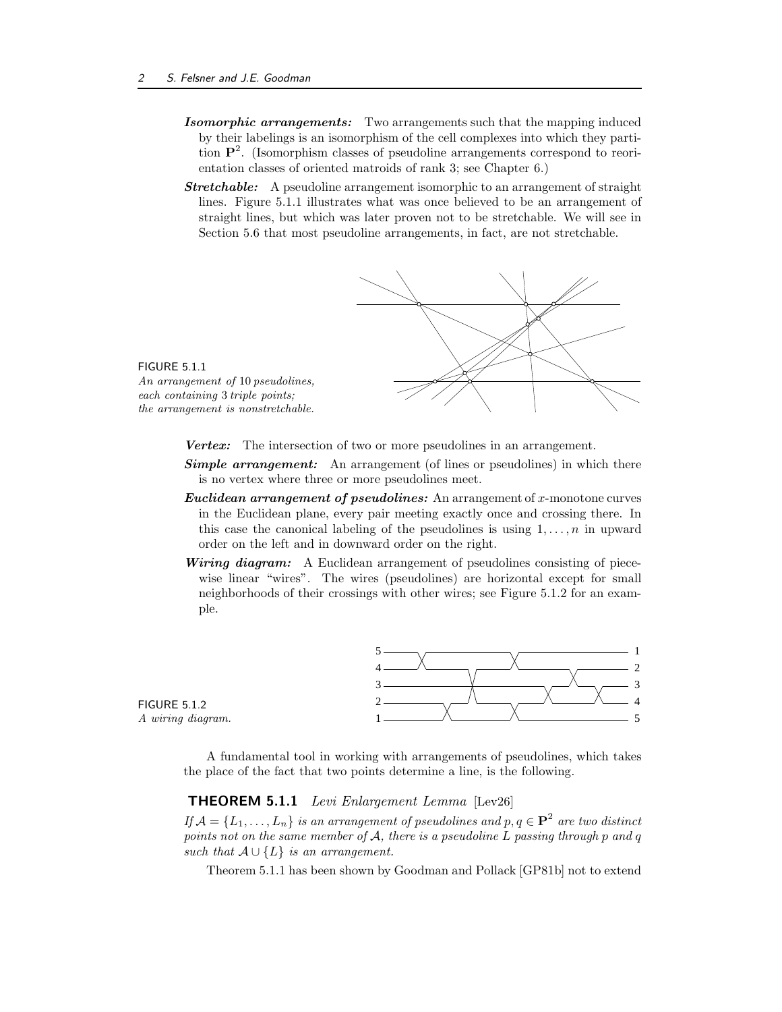- Isomorphic arrangements: Two arrangements such that the mapping induced by their labelings is an isomorphism of the cell complexes into which they partition P 2 . (Isomorphism classes of pseudoline arrangements correspond to reorientation classes of oriented matroids of rank 3; see Chapter 6.)
- **Stretchable:** A pseudoline arrangement isomorphic to an arrangement of straight lines. Figure 5.1.1 illustrates what was once believed to be an arrangement of straight lines, but which was later proven not to be stretchable. We will see in Section 5.6 that most pseudoline arrangements, in fact, are not stretchable.



FIGURE 5.1.1 An arrangement of 10 pseudolines, each containing 3 triple points; the arrangement is nonstretchable.

Vertex: The intersection of two or more pseudolines in an arrangement.

- **Simple arrangement:** An arrangement (of lines or pseudolines) in which there is no vertex where three or more pseudolines meet.
- Euclidean arrangement of pseudolines: An arrangement of x-monotone curves in the Euclidean plane, every pair meeting exactly once and crossing there. In this case the canonical labeling of the pseudolines is using  $1, \ldots, n$  in upward order on the left and in downward order on the right.
- Wiring diagram: A Euclidean arrangement of pseudolines consisting of piecewise linear "wires". The wires (pseudolines) are horizontal except for small neighborhoods of their crossings with other wires; see Figure 5.1.2 for an example.



FIGURE 5.1.2 A wiring diagram.

> A fundamental tool in working with arrangements of pseudolines, which takes the place of the fact that two points determine a line, is the following.

## THEOREM 5.1.1 Levi Enlargement Lemma [Lev26]

If  $\mathcal{A} = \{L_1, \ldots, L_n\}$  is an arrangement of pseudolines and  $p, q \in \mathbf{P}^2$  are two distinct points not on the same member of  $A$ , there is a pseudoline  $L$  passing through  $p$  and  $q$ such that  $A \cup \{L\}$  is an arrangement.

Theorem 5.1.1 has been shown by Goodman and Pollack [GP81b] not to extend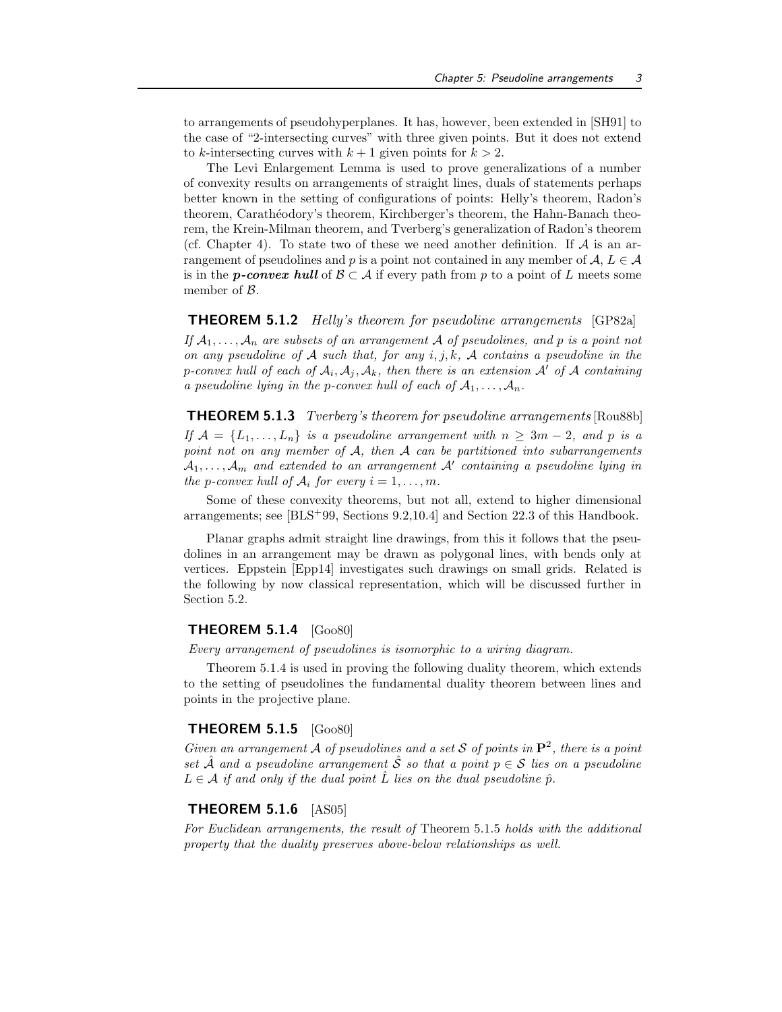to arrangements of pseudohyperplanes. It has, however, been extended in [SH91] to the case of "2-intersecting curves" with three given points. But it does not extend to k-intersecting curves with  $k + 1$  given points for  $k > 2$ .

The Levi Enlargement Lemma is used to prove generalizations of a number of convexity results on arrangements of straight lines, duals of statements perhaps better known in the setting of configurations of points: Helly's theorem, Radon's theorem, Carathéodory's theorem, Kirchberger's theorem, the Hahn-Banach theorem, the Krein-Milman theorem, and Tverberg's generalization of Radon's theorem (cf. Chapter 4). To state two of these we need another definition. If  $A$  is an arrangement of pseudolines and p is a point not contained in any member of  $A, L \in \mathcal{A}$ is in the **p-convex hull** of  $\mathcal{B} \subset \mathcal{A}$  if every path from p to a point of L meets some member of  $\beta$ .

#### **THEOREM 5.1.2** Helly's theorem for pseudoline arrangements [GP82a]

If  $A_1, \ldots, A_n$  are subsets of an arrangement A of pseudolines, and p is a point not on any pseudoline of A such that, for any  $i, j, k, \mathcal{A}$  contains a pseudoline in the p-convex hull of each of  $\mathcal{A}_i$ ,  $\mathcal{A}_j$ ,  $\mathcal{A}_k$ , then there is an extension  $\mathcal{A}'$  of  $\mathcal A$  containing a pseudoline lying in the p-convex hull of each of  $A_1, \ldots, A_n$ .

**THEOREM 5.1.3** Tverberg's theorem for pseudoline arrangements [Rou88b] If  $\mathcal{A} = \{L_1, \ldots, L_n\}$  is a pseudoline arrangement with  $n \geq 3m - 2$ , and p is a point not on any member of  $A$ , then  $A$  can be partitioned into subarrangements  $\mathcal{A}_1,\ldots,\mathcal{A}_m$  and extended to an arrangement  $\mathcal{A}'$  containing a pseudoline lying in the p-convex hull of  $A_i$  for every  $i = 1, \ldots, m$ .

Some of these convexity theorems, but not all, extend to higher dimensional arrangements; see [BLS<sup>+</sup>99, Sections 9.2,10.4] and Section 22.3 of this Handbook.

Planar graphs admit straight line drawings, from this it follows that the pseudolines in an arrangement may be drawn as polygonal lines, with bends only at vertices. Eppstein [Epp14] investigates such drawings on small grids. Related is the following by now classical representation, which will be discussed further in Section 5.2.

## **THEOREM 5.1.4**  $[G_{00}80]$

Every arrangement of pseudolines is isomorphic to a wiring diagram.

Theorem 5.1.4 is used in proving the following duality theorem, which extends to the setting of pseudolines the fundamental duality theorem between lines and points in the projective plane.

## THEOREM 5.1.5 [Goo80]

Given an arrangement A of pseudolines and a set S of points in  $\mathbf{P}^2$ , there is a point set  $\hat{A}$  and a pseudoline arrangement  $\hat{S}$  so that a point  $p \in S$  lies on a pseudoline  $L \in \mathcal{A}$  if and only if the dual point  $\hat{L}$  lies on the dual pseudoline  $\hat{p}$ .

## **THEOREM 5.1.6** [AS05]

For Euclidean arrangements, the result of Theorem 5.1.5 holds with the additional property that the duality preserves above-below relationships as well.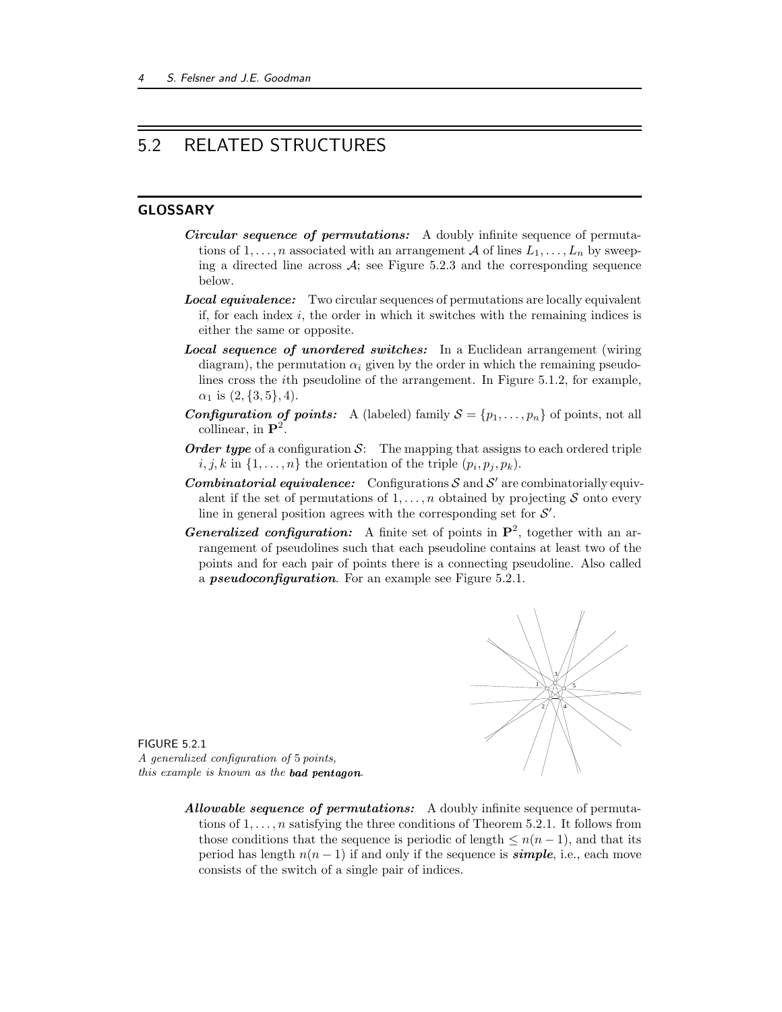# 5.2 RELATED STRUCTURES

## GLOSSARY

- Circular sequence of permutations: A doubly infinite sequence of permutations of  $1, \ldots, n$  associated with an arrangement A of lines  $L_1, \ldots, L_n$  by sweeping a directed line across  $A$ ; see Figure 5.2.3 and the corresponding sequence below.
- **Local equivalence:** Two circular sequences of permutations are locally equivalent if, for each index  $i$ , the order in which it switches with the remaining indices is either the same or opposite.
- Local sequence of unordered switches: In a Euclidean arrangement (wiring diagram), the permutation  $\alpha_i$  given by the order in which the remaining pseudolines cross the ith pseudoline of the arrangement. In Figure 5.1.2, for example,  $\alpha_1$  is  $(2,\{3,5\},4)$ .
- **Configuration of points:** A (labeled) family  $S = \{p_1, \ldots, p_n\}$  of points, not all collinear, in  $\mathbf{P}^2$ .
- **Order type** of a configuration  $S$ : The mapping that assigns to each ordered triple  $i, j, k \text{ in } \{1, \ldots, n\}$  the orientation of the triple  $(p_i, p_j, p_k)$ .
- **Combinatorial equivalence:** Configurations  $S$  and  $S'$  are combinatorially equivalent if the set of permutations of  $1, \ldots, n$  obtained by projecting S onto every line in general position agrees with the corresponding set for  $\mathcal{S}'$ .
- **Generalized configuration:** A finite set of points in  $\mathbf{P}^2$ , together with an arrangement of pseudolines such that each pseudoline contains at least two of the points and for each pair of points there is a connecting pseudoline. Also called a *pseudoconfiguration*. For an example see Figure 5.2.1.



FIGURE 5.2.1 A generalized configuration of 5 points, this example is known as the bad pentagon.

> Allowable sequence of permutations: A doubly infinite sequence of permutations of  $1, \ldots, n$  satisfying the three conditions of Theorem 5.2.1. It follows from those conditions that the sequence is periodic of length  $\leq n(n-1)$ , and that its period has length  $n(n-1)$  if and only if the sequence is *simple*, i.e., each move consists of the switch of a single pair of indices.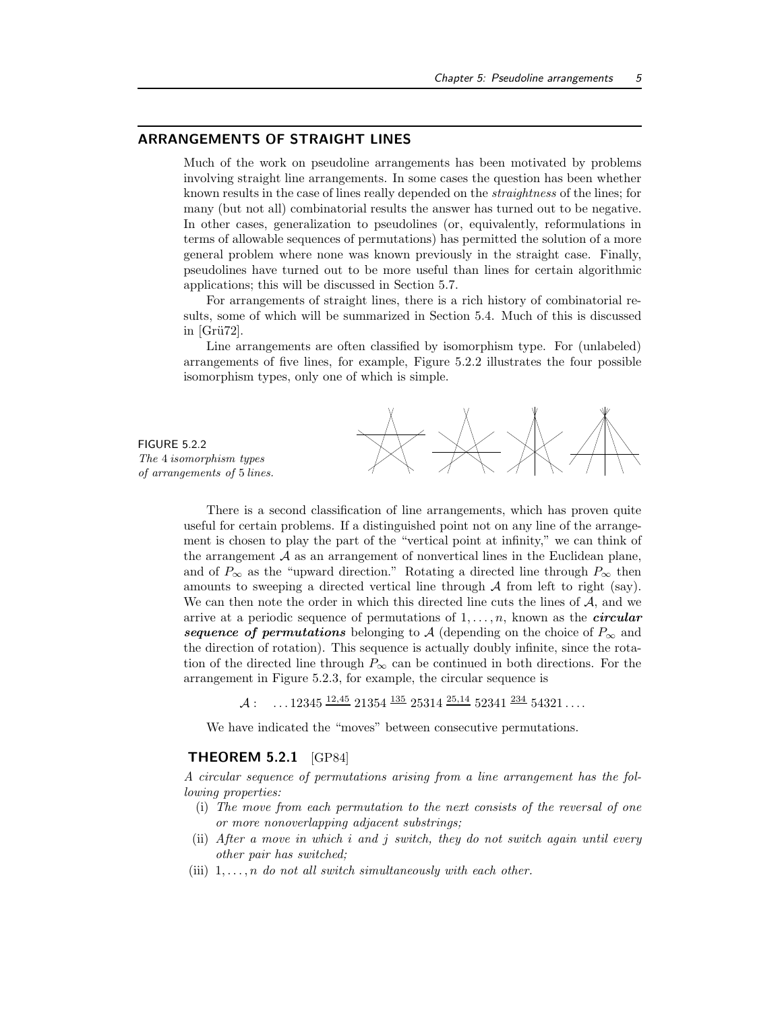#### ARRANGEMENTS OF STRAIGHT LINES

Much of the work on pseudoline arrangements has been motivated by problems involving straight line arrangements. In some cases the question has been whether known results in the case of lines really depended on the straightness of the lines; for many (but not all) combinatorial results the answer has turned out to be negative. In other cases, generalization to pseudolines (or, equivalently, reformulations in terms of allowable sequences of permutations) has permitted the solution of a more general problem where none was known previously in the straight case. Finally, pseudolines have turned out to be more useful than lines for certain algorithmic applications; this will be discussed in Section 5.7.

For arrangements of straight lines, there is a rich history of combinatorial results, some of which will be summarized in Section 5.4. Much of this is discussed in  $[Grii72]$ .

Line arrangements are often classified by isomorphism type. For (unlabeled) arrangements of five lines, for example, Figure 5.2.2 illustrates the four possible isomorphism types, only one of which is simple.

FIGURE 5.2.2 The 4 isomorphism types of arrangements of 5 lines.



There is a second classification of line arrangements, which has proven quite useful for certain problems. If a distinguished point not on any line of the arrangement is chosen to play the part of the "vertical point at infinity," we can think of the arrangement  $A$  as an arrangement of nonvertical lines in the Euclidean plane, and of  $P_{\infty}$  as the "upward direction." Rotating a directed line through  $P_{\infty}$  then amounts to sweeping a directed vertical line through  $A$  from left to right (say). We can then note the order in which this directed line cuts the lines of  $A$ , and we arrive at a periodic sequence of permutations of  $1, \ldots, n$ , known as the *circular* sequence of permutations belonging to A (depending on the choice of  $P_{\infty}$  and the direction of rotation). This sequence is actually doubly infinite, since the rotation of the directed line through  $P_{\infty}$  can be continued in both directions. For the arrangement in Figure 5.2.3, for example, the circular sequence is

 $\mathcal{A}: \quad \dots 12345 \frac{12,45}{21354} \frac{135}{25314} \frac{25,14}{25,14} \frac{52341}{2341} \frac{234}{34321} \dots$ 

We have indicated the "moves" between consecutive permutations.

### THEOREM 5.2.1 [GP84]

A circular sequence of permutations arising from a line arrangement has the following properties:

- (i) The move from each permutation to the next consists of the reversal of one or more nonoverlapping adjacent substrings;
- (ii) After a move in which i and j switch, they do not switch again until every other pair has switched;
- (iii)  $1, \ldots, n$  do not all switch simultaneously with each other.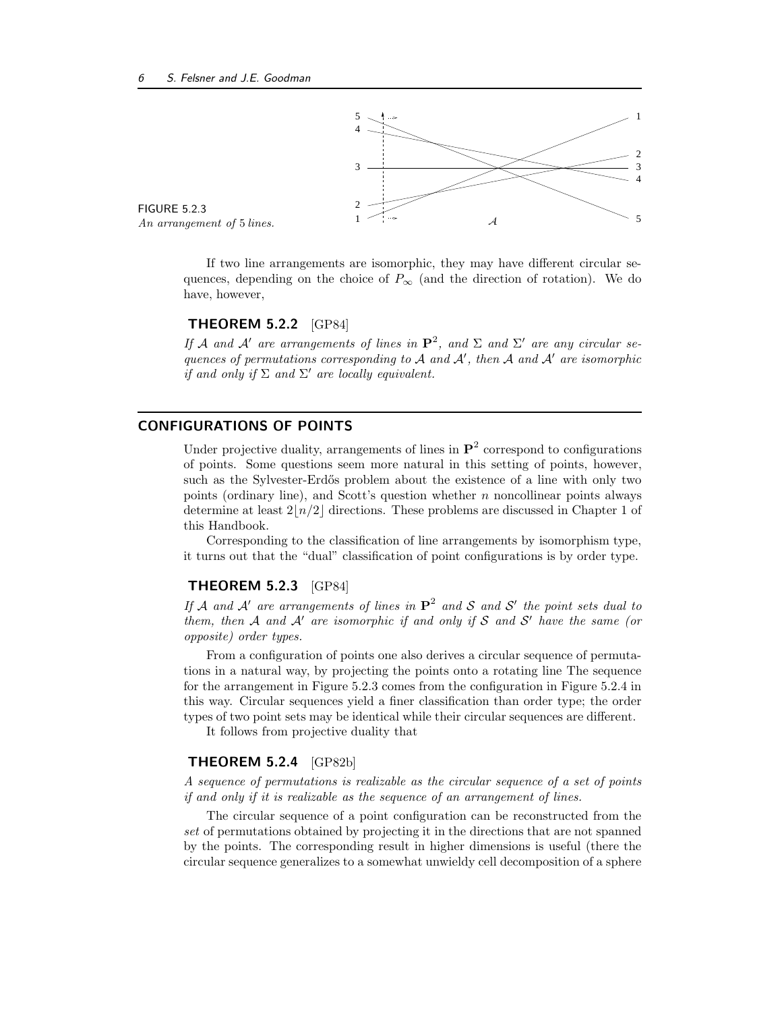

FIGURE 5.2.3

If two line arrangements are isomorphic, they may have different circular sequences, depending on the choice of  $P_{\infty}$  (and the direction of rotation). We do have, however,

## THEOREM 5.2.2 [GP84]

If A and A' are arrangements of lines in  $\mathbf{P}^2$ , and  $\Sigma$  and  $\Sigma'$  are any circular sequences of permutations corresponding to  $A$  and  $A'$ , then  $A$  and  $A'$  are isomorphic if and only if  $\Sigma$  and  $\Sigma'$  are locally equivalent.

## CONFIGURATIONS OF POINTS

Under projective duality, arrangements of lines in  $\mathbf{P}^2$  correspond to configurations of points. Some questions seem more natural in this setting of points, however, such as the Sylvester-Erdős problem about the existence of a line with only two points (ordinary line), and Scott's question whether  $n$  noncollinear points always determine at least  $2|n/2|$  directions. These problems are discussed in Chapter 1 of this Handbook.

Corresponding to the classification of line arrangements by isomorphism type, it turns out that the "dual" classification of point configurations is by order type.

## THEOREM 5.2.3 [GP84]

If A and A' are arrangements of lines in  $\mathbf{P}^2$  and S and S' the point sets dual to them, then A and A' are isomorphic if and only if S and S' have the same (or opposite) order types.

From a configuration of points one also derives a circular sequence of permutations in a natural way, by projecting the points onto a rotating line The sequence for the arrangement in Figure 5.2.3 comes from the configuration in Figure 5.2.4 in this way. Circular sequences yield a finer classification than order type; the order types of two point sets may be identical while their circular sequences are different.

It follows from projective duality that

#### THEOREM 5.2.4 [GP82b]

A sequence of permutations is realizable as the circular sequence of a set of points if and only if it is realizable as the sequence of an arrangement of lines.

The circular sequence of a point configuration can be reconstructed from the set of permutations obtained by projecting it in the directions that are not spanned by the points. The corresponding result in higher dimensions is useful (there the circular sequence generalizes to a somewhat unwieldy cell decomposition of a sphere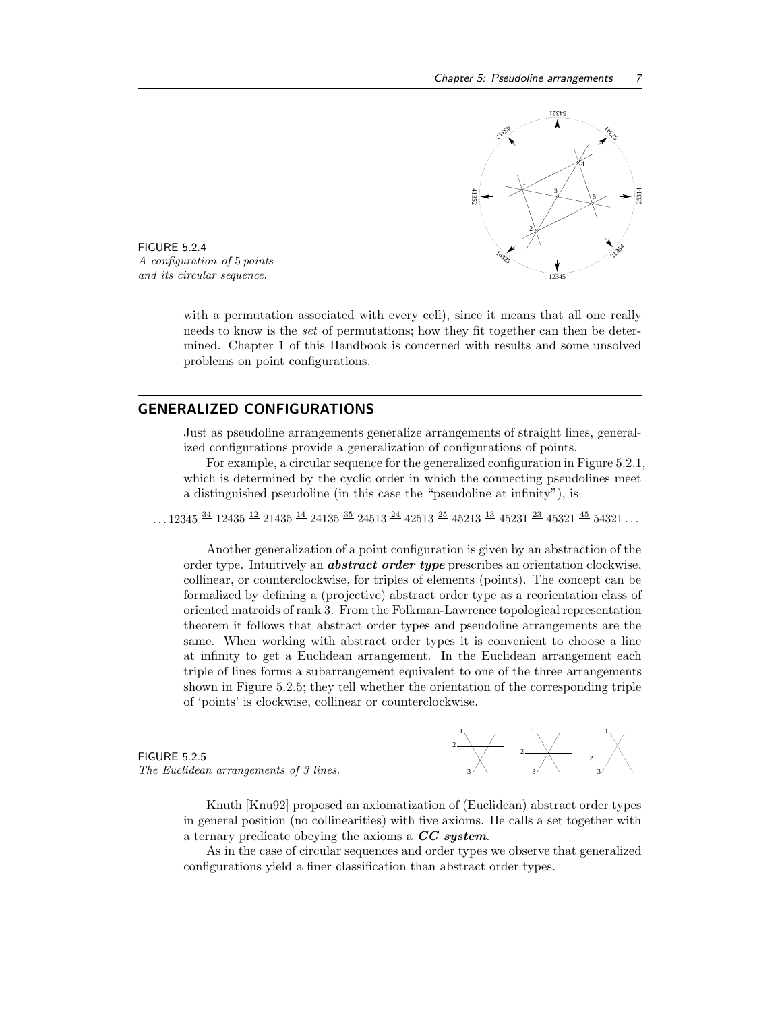

FIGURE 5.2.4 A configuration of 5 points and its circular sequence.

with a permutation associated with every cell), since it means that all one really needs to know is the set of permutations; how they fit together can then be determined. Chapter 1 of this Handbook is concerned with results and some unsolved problems on point configurations.

## GENERALIZED CONFIGURATIONS

Just as pseudoline arrangements generalize arrangements of straight lines, generalized configurations provide a generalization of configurations of points.

For example, a circular sequence for the generalized configuration in Figure 5.2.1, which is determined by the cyclic order in which the connecting pseudolines meet a distinguished pseudoline (in this case the "pseudoline at infinity"), is

 $\ldots 12345$   $^{34}$  12435  $^{12}$  21435  $^{14}$  24135  $^{35}$  24513  $^{24}$  42513  $^{25}$  45213  $^{13}$  45231  $^{23}$  45231  $^{45}$  54321  $\ldots$ 

Another generalization of a point configuration is given by an abstraction of the order type. Intuitively an **abstract order type** prescribes an orientation clockwise, collinear, or counterclockwise, for triples of elements (points). The concept can be formalized by defining a (projective) abstract order type as a reorientation class of oriented matroids of rank 3. From the Folkman-Lawrence topological representation theorem it follows that abstract order types and pseudoline arrangements are the same. When working with abstract order types it is convenient to choose a line at infinity to get a Euclidean arrangement. In the Euclidean arrangement each triple of lines forms a subarrangement equivalent to one of the three arrangements shown in Figure 5.2.5; they tell whether the orientation of the corresponding triple of 'points' is clockwise, collinear or counterclockwise.

## FIGURE 5.2.5 The Euclidean arrangements of  $3$  lines.



Knuth [Knu92] proposed an axiomatization of (Euclidean) abstract order types in general position (no collinearities) with five axioms. He calls a set together with a ternary predicate obeying the axioms a CC system.

As in the case of circular sequences and order types we observe that generalized configurations yield a finer classification than abstract order types.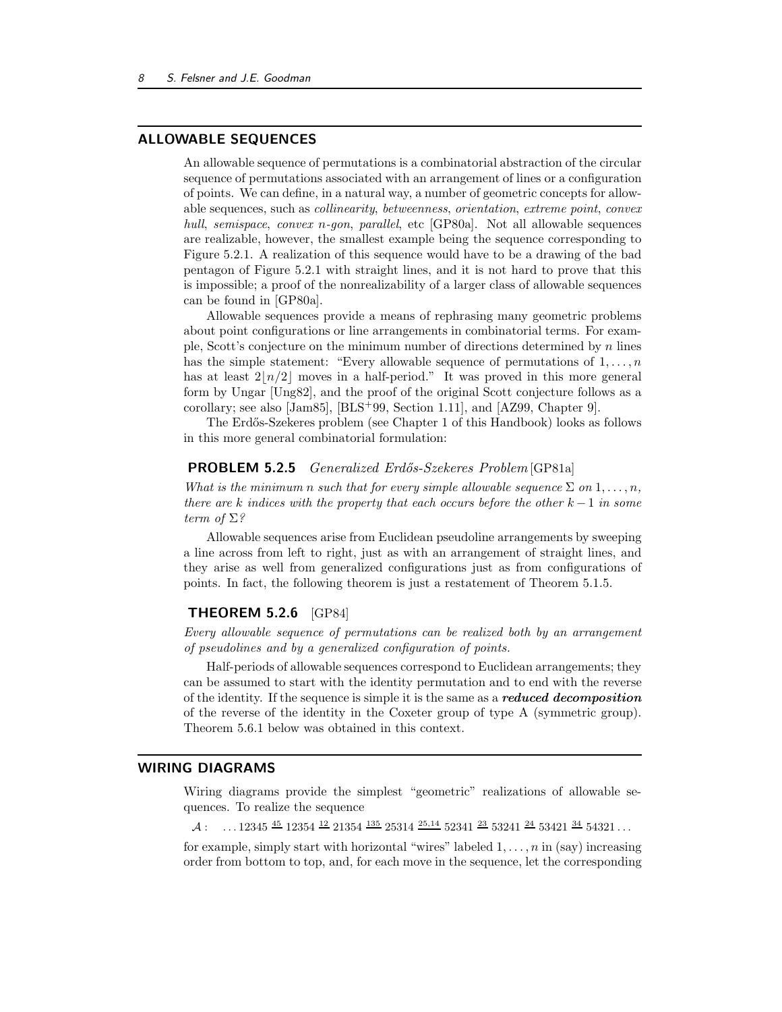## ALLOWABLE SEQUENCES

An allowable sequence of permutations is a combinatorial abstraction of the circular sequence of permutations associated with an arrangement of lines or a configuration of points. We can define, in a natural way, a number of geometric concepts for allowable sequences, such as collinearity, betweenness, orientation, extreme point, convex hull, semispace, convex n-gon, parallel, etc [GP80a]. Not all allowable sequences are realizable, however, the smallest example being the sequence corresponding to Figure 5.2.1. A realization of this sequence would have to be a drawing of the bad pentagon of Figure 5.2.1 with straight lines, and it is not hard to prove that this is impossible; a proof of the nonrealizability of a larger class of allowable sequences can be found in [GP80a].

Allowable sequences provide a means of rephrasing many geometric problems about point configurations or line arrangements in combinatorial terms. For example, Scott's conjecture on the minimum number of directions determined by  $n$  lines has the simple statement: "Every allowable sequence of permutations of  $1, \ldots, n$ has at least  $2\lfloor n/2 \rfloor$  moves in a half-period." It was proved in this more general form by Ungar [Ung82], and the proof of the original Scott conjecture follows as a corollary; see also  $\text{[Jam85]}, \text{[BLS}^+99, \text{Section 1.11}],$  and  $\text{[AZ99, Chapter 9]}$ .

The Erd˝os-Szekeres problem (see Chapter 1 of this Handbook) looks as follows in this more general combinatorial formulation:

## **PROBLEM 5.2.5** Generalized Erdős-Szekeres Problem [GP81a]

What is the minimum n such that for every simple allowable sequence  $\Sigma$  on  $1, \ldots, n$ , there are k indices with the property that each occurs before the other  $k-1$  in some term of  $\Sigma$ ?

Allowable sequences arise from Euclidean pseudoline arrangements by sweeping a line across from left to right, just as with an arrangement of straight lines, and they arise as well from generalized configurations just as from configurations of points. In fact, the following theorem is just a restatement of Theorem 5.1.5.

#### THEOREM 5.2.6 [GP84]

Every allowable sequence of permutations can be realized both by an arrangement of pseudolines and by a generalized configuration of points.

Half-periods of allowable sequences correspond to Euclidean arrangements; they can be assumed to start with the identity permutation and to end with the reverse of the identity. If the sequence is simple it is the same as a reduced decomposition of the reverse of the identity in the Coxeter group of type A (symmetric group). Theorem 5.6.1 below was obtained in this context.

#### WIRING DIAGRAMS

Wiring diagrams provide the simplest "geometric" realizations of allowable sequences. To realize the sequence

 $A:$  ...12345  $\frac{45}{2}$  12354  $\frac{12}{21354}$   $\frac{135}{25314}$   $\frac{25,14}{25,14}$  52341  $\frac{23}{25}$  53241  $\frac{24}{25}$  53421  $\frac{34}{21}$  54321 ...

for example, simply start with horizontal "wires" labeled  $1, \ldots, n$  in (say) increasing order from bottom to top, and, for each move in the sequence, let the corresponding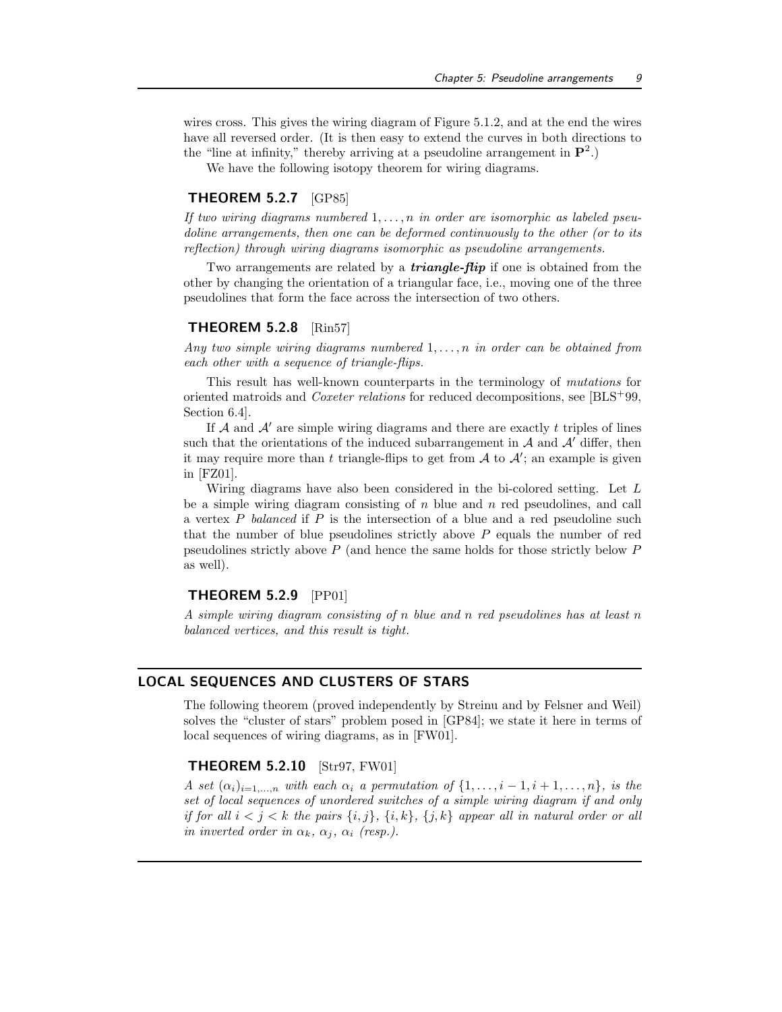wires cross. This gives the wiring diagram of Figure 5.1.2, and at the end the wires have all reversed order. (It is then easy to extend the curves in both directions to the "line at infinity," thereby arriving at a pseudoline arrangement in  $\mathbf{P}^2$ .)

We have the following isotopy theorem for wiring diagrams.

#### THEOREM 5.2.7 [GP85]

If two wiring diagrams numbered  $1, \ldots, n$  in order are isomorphic as labeled pseudoline arrangements, then one can be deformed continuously to the other (or to its reflection) through wiring diagrams isomorphic as pseudoline arrangements.

Two arrangements are related by a **triangle-flip** if one is obtained from the other by changing the orientation of a triangular face, i.e., moving one of the three pseudolines that form the face across the intersection of two others.

### THEOREM 5.2.8 [Rin57]

Any two simple wiring diagrams numbered  $1, \ldots, n$  in order can be obtained from each other with a sequence of triangle-flips.

This result has well-known counterparts in the terminology of mutations for oriented matroids and Coxeter relations for reduced decompositions, see [BLS<sup>+</sup>99, Section 6.4].

If  $A$  and  $A'$  are simple wiring diagrams and there are exactly t triples of lines such that the orientations of the induced subarrangement in  $\mathcal A$  and  $\mathcal A'$  differ, then it may require more than t triangle-flips to get from  $A$  to  $A'$ ; an example is given in [FZ01].

Wiring diagrams have also been considered in the bi-colored setting. Let L be a simple wiring diagram consisting of  $n$  blue and  $n$  red pseudolines, and call a vertex P balanced if P is the intersection of a blue and a red pseudoline such that the number of blue pseudolines strictly above  $P$  equals the number of red pseudolines strictly above P (and hence the same holds for those strictly below P as well).

## THEOREM 5.2.9 [PP01]

A simple wiring diagram consisting of n blue and n red pseudolines has at least n balanced vertices, and this result is tight.

## LOCAL SEQUENCES AND CLUSTERS OF STARS

The following theorem (proved independently by Streinu and by Felsner and Weil) solves the "cluster of stars" problem posed in [GP84]; we state it here in terms of local sequences of wiring diagrams, as in [FW01].

#### **THEOREM 5.2.10** [Str97, FW01]

A set  $(\alpha_i)_{i=1,\ldots,n}$  with each  $\alpha_i$  a permutation of  $\{1,\ldots,i-1,i+1,\ldots,n\}$ , is the set of local sequences of unordered switches of a simple wiring diagram if and only if for all  $i < j < k$  the pairs  $\{i, j\}$ ,  $\{i, k\}$ ,  $\{j, k\}$  appear all in natural order or all in inverted order in  $\alpha_k$ ,  $\alpha_j$ ,  $\alpha_i$  (resp.).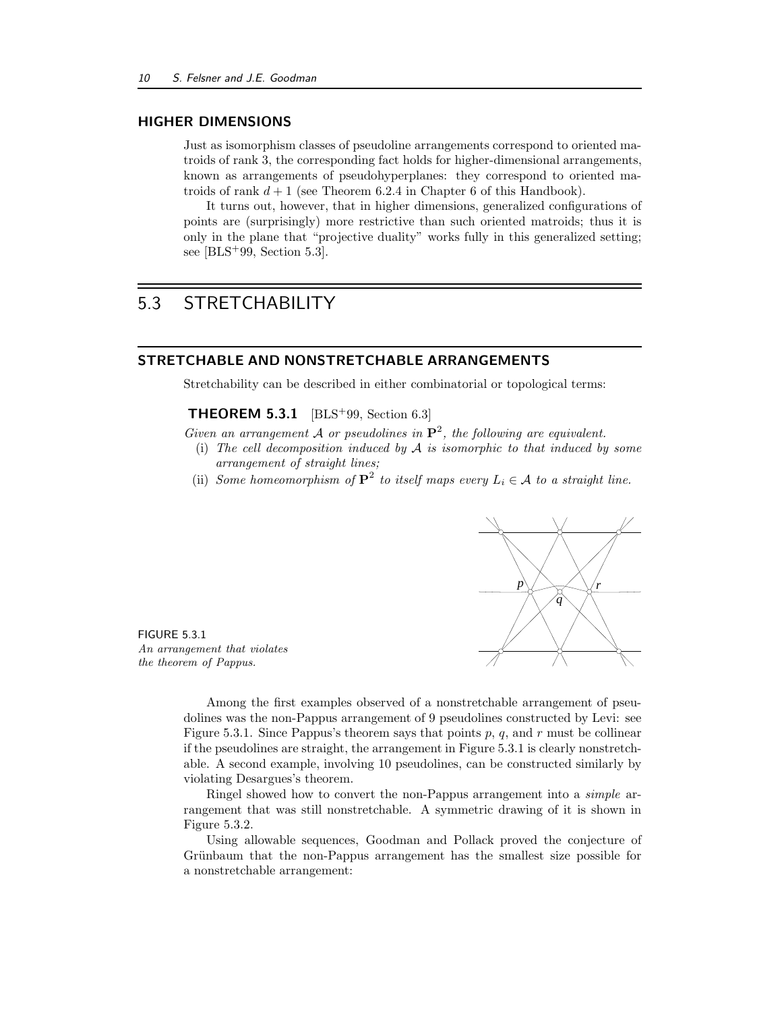## HIGHER DIMENSIONS

Just as isomorphism classes of pseudoline arrangements correspond to oriented matroids of rank 3, the corresponding fact holds for higher-dimensional arrangements, known as arrangements of pseudohyperplanes: they correspond to oriented matroids of rank  $d+1$  (see Theorem 6.2.4 in Chapter 6 of this Handbook).

It turns out, however, that in higher dimensions, generalized configurations of points are (surprisingly) more restrictive than such oriented matroids; thus it is only in the plane that "projective duality" works fully in this generalized setting; see [BLS<sup>+</sup>99, Section 5.3].

## 5.3 STRETCHABILITY

## STRETCHABLE AND NONSTRETCHABLE ARRANGEMENTS

Stretchability can be described in either combinatorial or topological terms:

**THEOREM 5.3.1** [BLS<sup>+</sup>99, Section 6.3]

Given an arrangement A or pseudolines in  $\mathbf{P}^2$ , the following are equivalent.

- (i) The cell decomposition induced by  $A$  is isomorphic to that induced by some arrangement of straight lines;
- (ii) Some homeomorphism of  $\mathbf{P}^2$  to itself maps every  $L_i \in \mathcal{A}$  to a straight line.



FIGURE 5.3.1 An arrangement that violates the theorem of Pappus.

Among the first examples observed of a nonstretchable arrangement of pseudolines was the non-Pappus arrangement of 9 pseudolines constructed by Levi: see Figure 5.3.1. Since Pappus's theorem says that points p, q, and r must be collinear if the pseudolines are straight, the arrangement in Figure 5.3.1 is clearly nonstretchable. A second example, involving 10 pseudolines, can be constructed similarly by violating Desargues's theorem.

Ringel showed how to convert the non-Pappus arrangement into a simple arrangement that was still nonstretchable. A symmetric drawing of it is shown in Figure 5.3.2.

Using allowable sequences, Goodman and Pollack proved the conjecture of Grünbaum that the non-Pappus arrangement has the smallest size possible for a nonstretchable arrangement: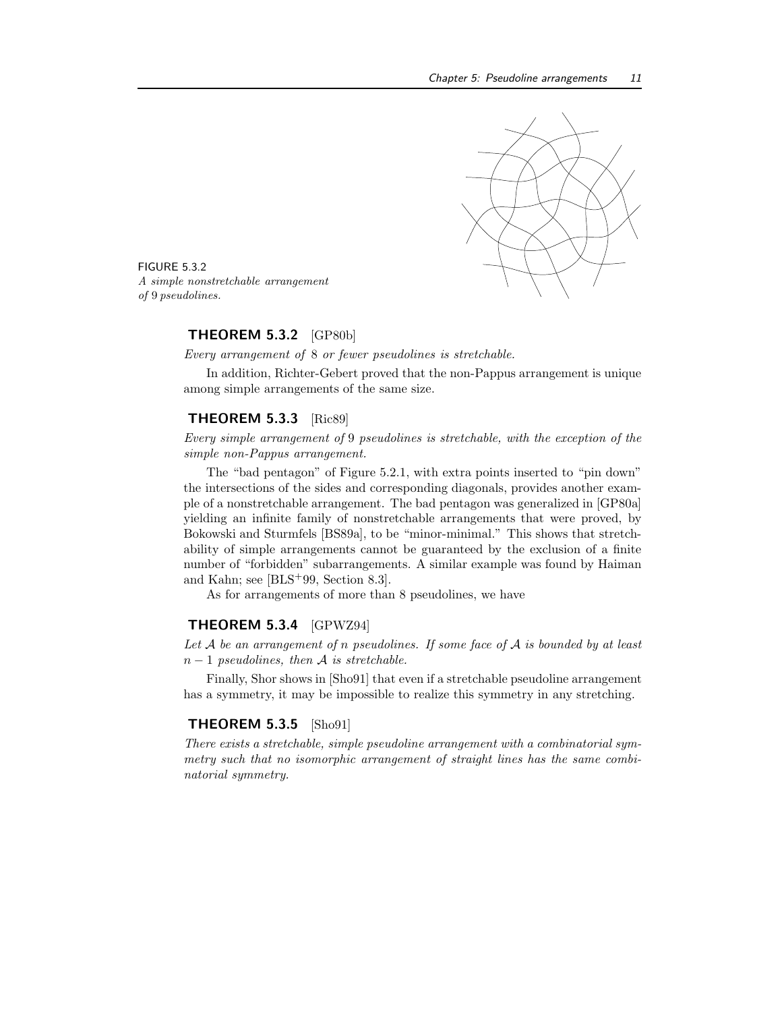

FIGURE 5.3.2 A simple nonstretchable arrangement of 9 pseudolines.

#### THEOREM 5.3.2 [GP80b]

Every arrangement of 8 or fewer pseudolines is stretchable.

In addition, Richter-Gebert proved that the non-Pappus arrangement is unique among simple arrangements of the same size.

## THEOREM 5.3.3 [Ric89]

Every simple arrangement of 9 pseudolines is stretchable, with the exception of the simple non-Pappus arrangement.

The "bad pentagon" of Figure 5.2.1, with extra points inserted to "pin down" the intersections of the sides and corresponding diagonals, provides another example of a nonstretchable arrangement. The bad pentagon was generalized in [GP80a] yielding an infinite family of nonstretchable arrangements that were proved, by Bokowski and Sturmfels [BS89a], to be "minor-minimal." This shows that stretchability of simple arrangements cannot be guaranteed by the exclusion of a finite number of "forbidden" subarrangements. A similar example was found by Haiman and Kahn; see [BLS<sup>+</sup>99, Section 8.3].

As for arrangements of more than 8 pseudolines, we have

#### THEOREM 5.3.4 [GPWZ94]

Let  $A$  be an arrangement of n pseudolines. If some face of  $A$  is bounded by at least  $n-1$  pseudolines, then A is stretchable.

Finally, Shor shows in [Sho91] that even if a stretchable pseudoline arrangement has a symmetry, it may be impossible to realize this symmetry in any stretching.

#### THEOREM 5.3.5 [Sho91]

There exists a stretchable, simple pseudoline arrangement with a combinatorial symmetry such that no isomorphic arrangement of straight lines has the same combinatorial symmetry.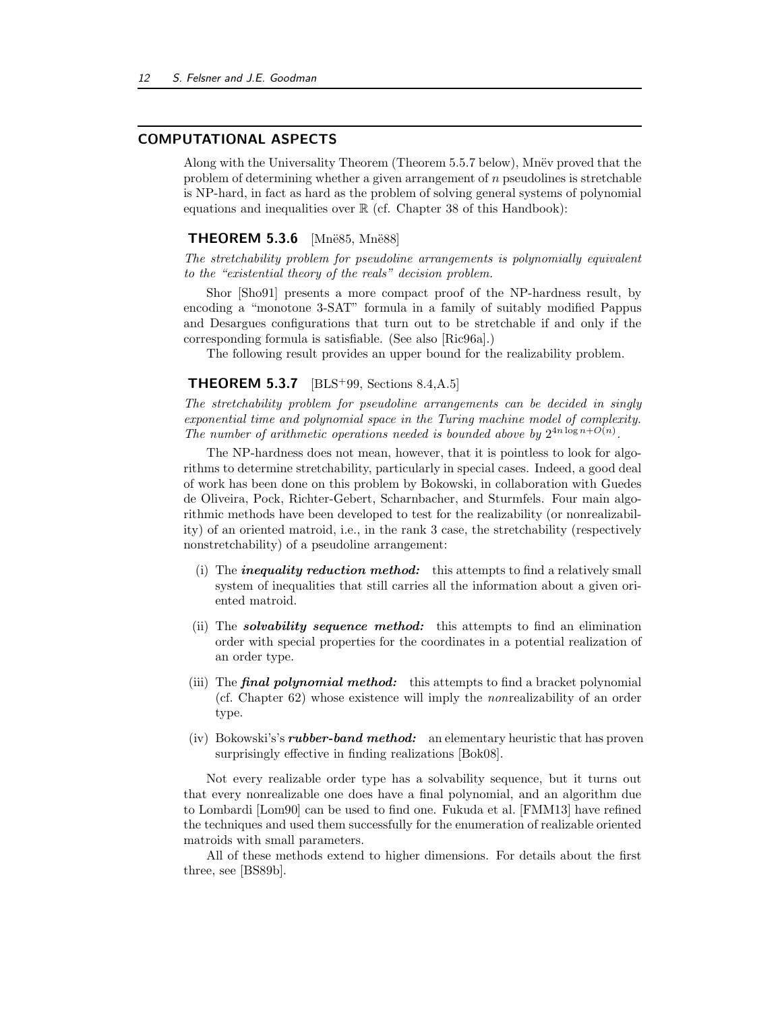## COMPUTATIONAL ASPECTS

Along with the Universality Theorem (Theorem 5.5.7 below), Mnev proved that the problem of determining whether a given arrangement of n pseudolines is stretchable is NP-hard, in fact as hard as the problem of solving general systems of polynomial equations and inequalities over  $\mathbb R$  (cf. Chapter 38 of this Handbook):

### **THEOREM 5.3.6** [Mnë85, Mnë88]

The stretchability problem for pseudoline arrangements is polynomially equivalent to the "existential theory of the reals" decision problem.

Shor [Sho91] presents a more compact proof of the NP-hardness result, by encoding a "monotone 3-SAT" formula in a family of suitably modified Pappus and Desargues configurations that turn out to be stretchable if and only if the corresponding formula is satisfiable. (See also [Ric96a].)

The following result provides an upper bound for the realizability problem.

#### **THEOREM 5.3.7** [BLS<sup>+</sup>99, Sections 8.4, A.5]

The stretchability problem for pseudoline arrangements can be decided in singly exponential time and polynomial space in the Turing machine model of complexity. The number of arithmetic operations needed is bounded above by  $2^{4n \log n + O(n)}$ .

The NP-hardness does not mean, however, that it is pointless to look for algorithms to determine stretchability, particularly in special cases. Indeed, a good deal of work has been done on this problem by Bokowski, in collaboration with Guedes de Oliveira, Pock, Richter-Gebert, Scharnbacher, and Sturmfels. Four main algorithmic methods have been developed to test for the realizability (or nonrealizability) of an oriented matroid, i.e., in the rank 3 case, the stretchability (respectively nonstretchability) of a pseudoline arrangement:

- (i) The *inequality reduction method:* this attempts to find a relatively small system of inequalities that still carries all the information about a given oriented matroid.
- (ii) The *solvability sequence method:* this attempts to find an elimination order with special properties for the coordinates in a potential realization of an order type.
- (iii) The **final polynomial method:** this attempts to find a bracket polynomial (cf. Chapter 62) whose existence will imply the nonrealizability of an order type.
- (iv) Bokowski's's rubber-band method: an elementary heuristic that has proven surprisingly effective in finding realizations [Bok08].

Not every realizable order type has a solvability sequence, but it turns out that every nonrealizable one does have a final polynomial, and an algorithm due to Lombardi [Lom90] can be used to find one. Fukuda et al. [FMM13] have refined the techniques and used them successfully for the enumeration of realizable oriented matroids with small parameters.

All of these methods extend to higher dimensions. For details about the first three, see [BS89b].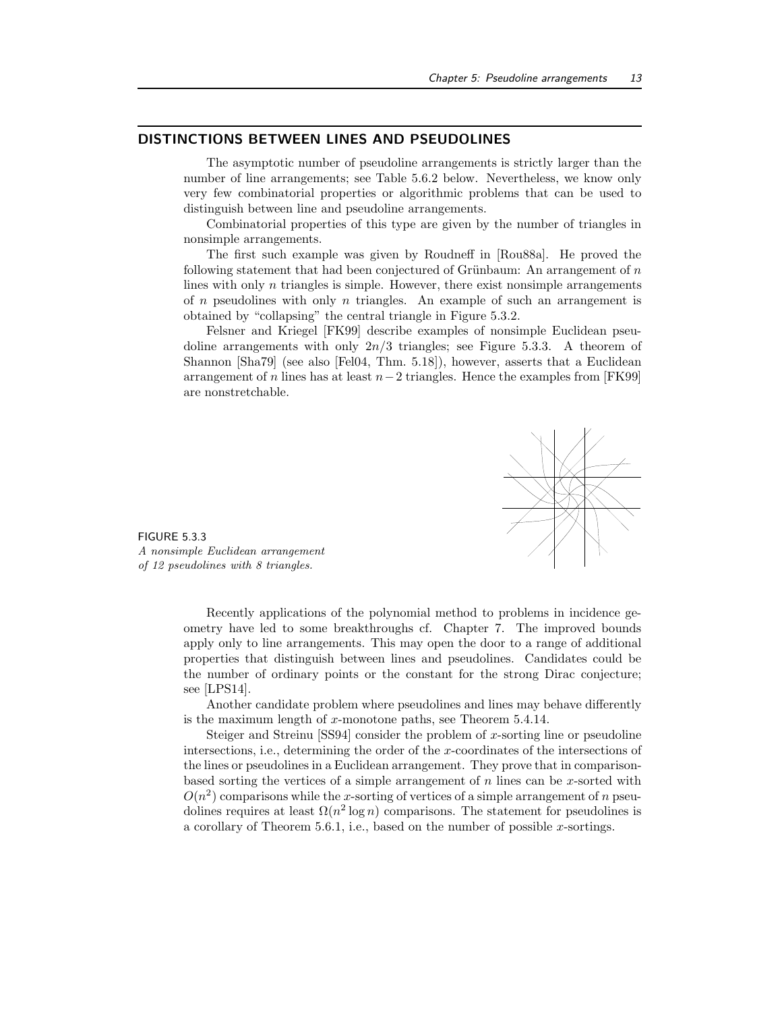## DISTINCTIONS BETWEEN LINES AND PSEUDOLINES

The asymptotic number of pseudoline arrangements is strictly larger than the number of line arrangements; see Table 5.6.2 below. Nevertheless, we know only very few combinatorial properties or algorithmic problems that can be used to distinguish between line and pseudoline arrangements.

Combinatorial properties of this type are given by the number of triangles in nonsimple arrangements.

The first such example was given by Roudneff in [Rou88a]. He proved the following statement that had been conjectured of Grünbaum: An arrangement of  $n$ lines with only  $n$  triangles is simple. However, there exist nonsimple arrangements of  $n$  pseudolines with only  $n$  triangles. An example of such an arrangement is obtained by "collapsing" the central triangle in Figure 5.3.2.

Felsner and Kriegel [FK99] describe examples of nonsimple Euclidean pseudoline arrangements with only  $2n/3$  triangles; see Figure 5.3.3. A theorem of Shannon [Sha79] (see also [Fel04, Thm. 5.18]), however, asserts that a Euclidean arrangement of n lines has at least  $n-2$  triangles. Hence the examples from [FK99] are nonstretchable.



FIGURE 5.3.3 A nonsimple Euclidean arrangement of 12 pseudolines with 8 triangles.

Recently applications of the polynomial method to problems in incidence geometry have led to some breakthroughs cf. Chapter 7. The improved bounds apply only to line arrangements. This may open the door to a range of additional properties that distinguish between lines and pseudolines. Candidates could be the number of ordinary points or the constant for the strong Dirac conjecture; see [LPS14].

Another candidate problem where pseudolines and lines may behave differently is the maximum length of x-monotone paths, see Theorem 5.4.14.

Steiger and Streinu [SS94] consider the problem of x-sorting line or pseudoline intersections, i.e., determining the order of the x-coordinates of the intersections of the lines or pseudolines in a Euclidean arrangement. They prove that in comparisonbased sorting the vertices of a simple arrangement of  $n$  lines can be x-sorted with  $O(n^2)$  comparisons while the x-sorting of vertices of a simple arrangement of n pseudolines requires at least  $\Omega(n^2 \log n)$  comparisons. The statement for pseudolines is a corollary of Theorem  $5.6.1$ , i.e., based on the number of possible x-sortings.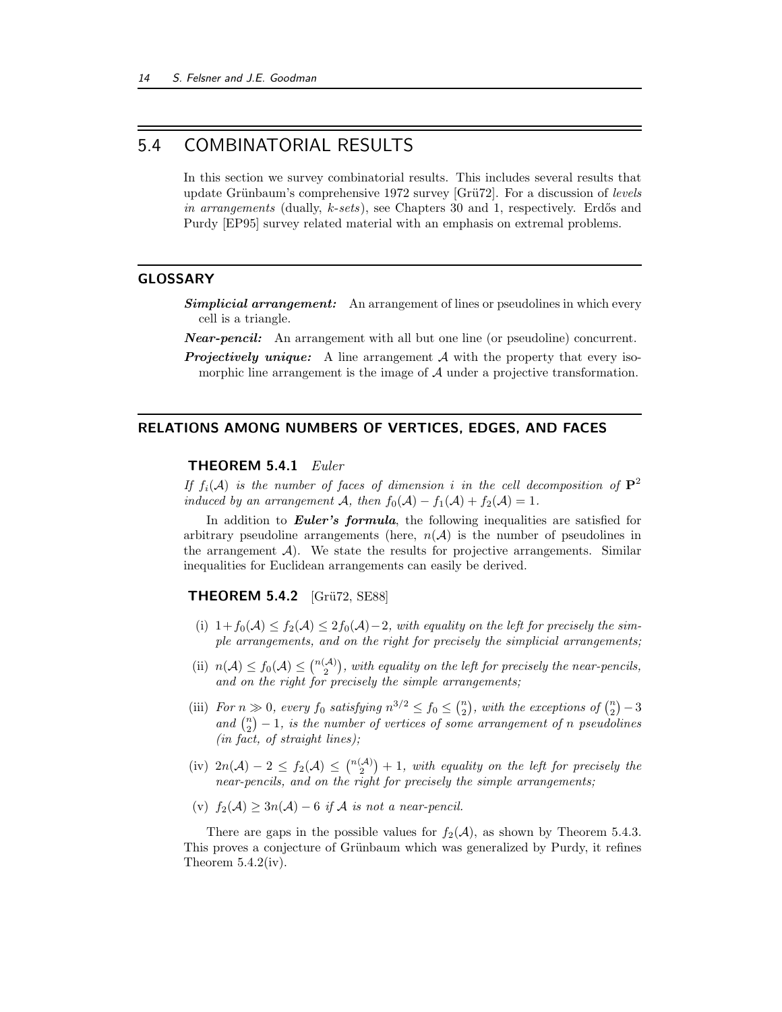## 5.4 COMBINATORIAL RESULTS

In this section we survey combinatorial results. This includes several results that update Grünbaum's comprehensive 1972 survey [Grü72]. For a discussion of levels in arrangements (dually,  $k\text{-}sets$ ), see Chapters 30 and 1, respectively. Erdős and Purdy [EP95] survey related material with an emphasis on extremal problems.

## GLOSSARY

- **Simplicial arrangement:** An arrangement of lines or pseudolines in which every cell is a triangle.
- **Near-pencil:** An arrangement with all but one line (or pseudoline) concurrent.
- **Projectively unique:** A line arrangement  $A$  with the property that every isomorphic line arrangement is the image of  $A$  under a projective transformation.

#### RELATIONS AMONG NUMBERS OF VERTICES, EDGES, AND FACES

#### **THEOREM 5.4.1**  $Euler$

If  $f_i(\mathcal{A})$  is the number of faces of dimension i in the cell decomposition of  $\mathbf{P}^2$ induced by an arrangement A, then  $f_0(\mathcal{A}) - f_1(\mathcal{A}) + f_2(\mathcal{A}) = 1$ .

In addition to **Euler's formula**, the following inequalities are satisfied for arbitrary pseudoline arrangements (here,  $n(\mathcal{A})$ ) is the number of pseudolines in the arrangement  $\mathcal{A}$ ). We state the results for projective arrangements. Similar inequalities for Euclidean arrangements can easily be derived.

## **THEOREM 5.4.2** [Grü72, SE88]

- (i)  $1+f_0(\mathcal{A}) \leq f_2(\mathcal{A}) \leq 2f_0(\mathcal{A})-2$ , with equality on the left for precisely the simple arrangements, and on the right for precisely the simplicial arrangements;
- (ii)  $n(A) \le f_0(A) \le {n(A) \choose 2}$ , with equality on the left for precisely the near-pencils, and on the right for precisely the simple arrangements;
- (iii) For  $n \gg 0$ , every  $f_0$  satisfying  $n^{3/2} \le f_0 \le {n \choose 2}$ , with the exceptions of  ${n \choose 2} 3$ and  $\binom{n}{2} - 1$ , is the number of vertices of some arrangement of n pseudolines (in fact, of straight lines);
- (iv)  $2n(\mathcal{A}) 2 \le f_2(\mathcal{A}) \le {n(\mathcal{A}) \choose 2} + 1$ , with equality on the left for precisely the near-pencils, and on the right for precisely the simple arrangements;
- (v)  $f_2(\mathcal{A}) \geq 3n(\mathcal{A}) 6$  if  $\mathcal A$  is not a near-pencil.

There are gaps in the possible values for  $f_2(\mathcal{A})$ , as shown by Theorem 5.4.3. This proves a conjecture of Grünbaum which was generalized by Purdy, it refines Theorem  $5.4.2(iv)$ .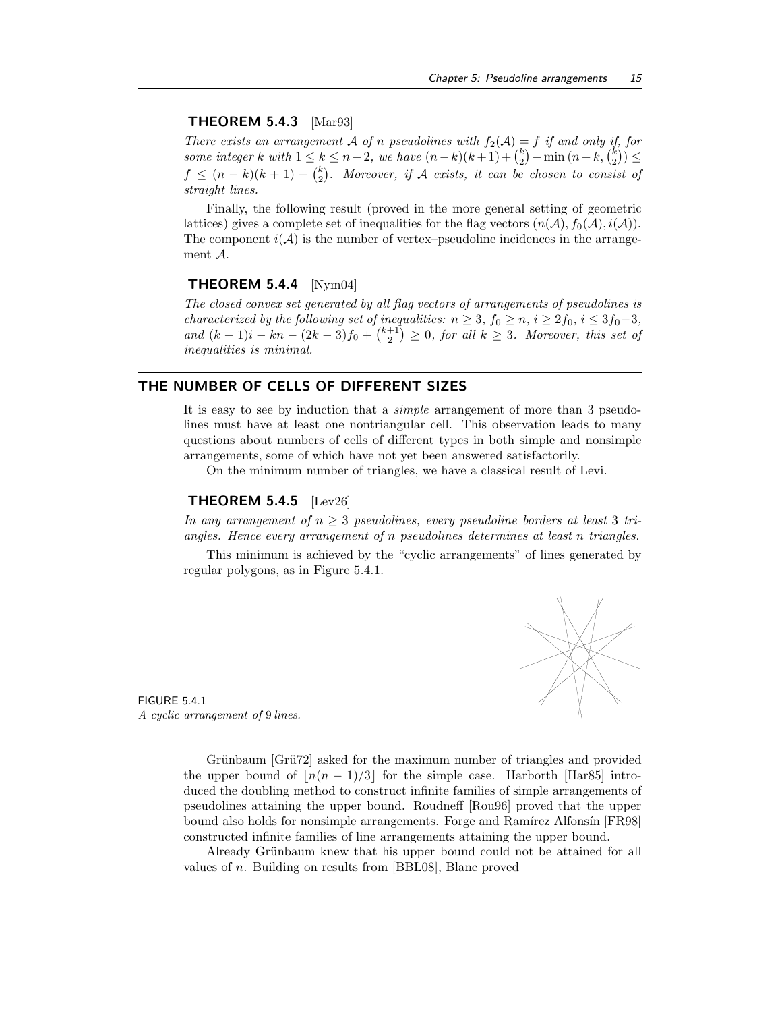#### THEOREM 5.4.3 [Mar93]

There exists an arrangement A of n pseudolines with  $f_2(A) = f$  if and only if, for some integer k with  $1 \leq k \leq n-2$ , we have  $(n-k)(k+1) + {k \choose 2} - \min(n-k, {k \choose 2}) \leq$  $f \leq (n-k)(k+1) + {k \choose 2}$ . Moreover, if A exists, it can be chosen to consist of straight lines.

Finally, the following result (proved in the more general setting of geometric lattices) gives a complete set of inequalities for the flag vectors  $(n(A), f_0(A), i(A))$ . The component  $i(\mathcal{A})$  is the number of vertex–pseudoline incidences in the arrangement A.

### **THEOREM 5.4.4** [Nym04]

The closed convex set generated by all flag vectors of arrangements of pseudolines is characterized by the following set of inequalities:  $n \geq 3$ ,  $f_0 \geq n$ ,  $i \geq 2f_0$ ,  $i \leq 3f_0-3$ , and  $(k-1)i - kn - (2k-3)f_0 + \binom{k+1}{2} \geq 0$ , for all  $k \geq 3$ . Moreover, this set of inequalities is minimal.

## THE NUMBER OF CELLS OF DIFFERENT SIZES

It is easy to see by induction that a simple arrangement of more than 3 pseudolines must have at least one nontriangular cell. This observation leads to many questions about numbers of cells of different types in both simple and nonsimple arrangements, some of which have not yet been answered satisfactorily.

On the minimum number of triangles, we have a classical result of Levi.

#### **THEOREM 5.4.5** [Lev26]

In any arrangement of  $n \geq 3$  pseudolines, every pseudoline borders at least 3 triangles. Hence every arrangement of n pseudolines determines at least n triangles.

This minimum is achieved by the "cyclic arrangements" of lines generated by regular polygons, as in Figure 5.4.1.



FIGURE 5.4.1 A cyclic arrangement of 9 lines.

> Grünbaum [Grü72] asked for the maximum number of triangles and provided the upper bound of  $\lfloor n(n-1)/3 \rfloor$  for the simple case. Harborth [Har85] introduced the doubling method to construct infinite families of simple arrangements of pseudolines attaining the upper bound. Roudneff [Rou96] proved that the upper bound also holds for nonsimple arrangements. Forge and Ramírez Alfonsín [FR98] constructed infinite families of line arrangements attaining the upper bound.

> Already Grünbaum knew that his upper bound could not be attained for all values of n. Building on results from [BBL08], Blanc proved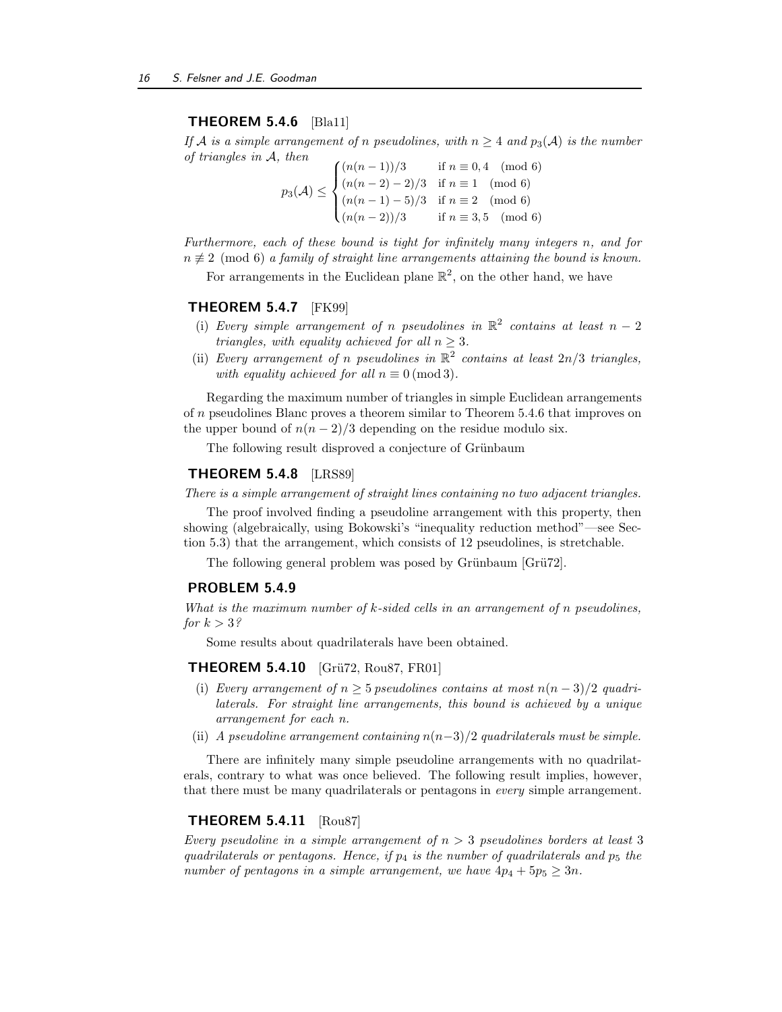## THEOREM 5.4.6 [Bla11]

If A is a simple arrangement of n pseudolines, with  $n \geq 4$  and  $p_3(A)$  is the number of triangles in A, then

 $p_3(\mathcal{A}) \leq$  $\sqrt{ }$  $\int$  $\overline{\mathcal{L}}$  $(n(n-1))/3$  if  $n \equiv 0,4 \pmod{6}$  $(n(n-2)-2)/3$  if  $n \equiv 1 \pmod{6}$  $(n(n-1)-5)/3$  if  $n \equiv 2 \pmod{6}$  $(n(n-2))/3$  if  $n \equiv 3, 5 \pmod{6}$ 

Furthermore, each of these bound is tight for infinitely many integers n, and for  $n \neq 2 \pmod{6}$  a family of straight line arrangements attaining the bound is known.

For arrangements in the Euclidean plane  $\mathbb{R}^2$ , on the other hand, we have

#### **THEOREM 5.4.7** [FK99]

- (i) Every simple arrangement of n pseudolines in  $\mathbb{R}^2$  contains at least  $n-2$ triangles, with equality achieved for all  $n \geq 3$ .
- (ii) Every arrangement of n pseudolines in  $\mathbb{R}^2$  contains at least  $2n/3$  triangles, with equality achieved for all  $n \equiv 0 \pmod{3}$ .

Regarding the maximum number of triangles in simple Euclidean arrangements of n pseudolines Blanc proves a theorem similar to Theorem 5.4.6 that improves on the upper bound of  $n(n-2)/3$  depending on the residue modulo six.

The following result disproved a conjecture of Grünbaum

#### THEOREM 5.4.8 [LRS89]

There is a simple arrangement of straight lines containing no two adjacent triangles.

The proof involved finding a pseudoline arrangement with this property, then showing (algebraically, using Bokowski's "inequality reduction method"—see Section 5.3) that the arrangement, which consists of 12 pseudolines, is stretchable.

The following general problem was posed by Grünbaum [Grü72].

#### PROBLEM 5.4.9

What is the maximum number of k-sided cells in an arrangement of n pseudolines, for  $k > 3$ ?

Some results about quadrilaterals have been obtained.

#### **THEOREM 5.4.10** [Grü72, Rou87, FR01]

- (i) Every arrangement of  $n \geq 5$  pseudolines contains at most  $n(n-3)/2$  quadrilaterals. For straight line arrangements, this bound is achieved by a unique arrangement for each n.
- (ii) A pseudoline arrangement containing  $n(n-3)/2$  quadrilaterals must be simple.

There are infinitely many simple pseudoline arrangements with no quadrilaterals, contrary to what was once believed. The following result implies, however, that there must be many quadrilaterals or pentagons in every simple arrangement.

## THEOREM 5.4.11 [Rou87]

Every pseudoline in a simple arrangement of  $n > 3$  pseudolines borders at least 3 quadrilaterals or pentagons. Hence, if  $p_4$  is the number of quadrilaterals and  $p_5$  the number of pentagons in a simple arrangement, we have  $4p_4 + 5p_5 \geq 3n$ .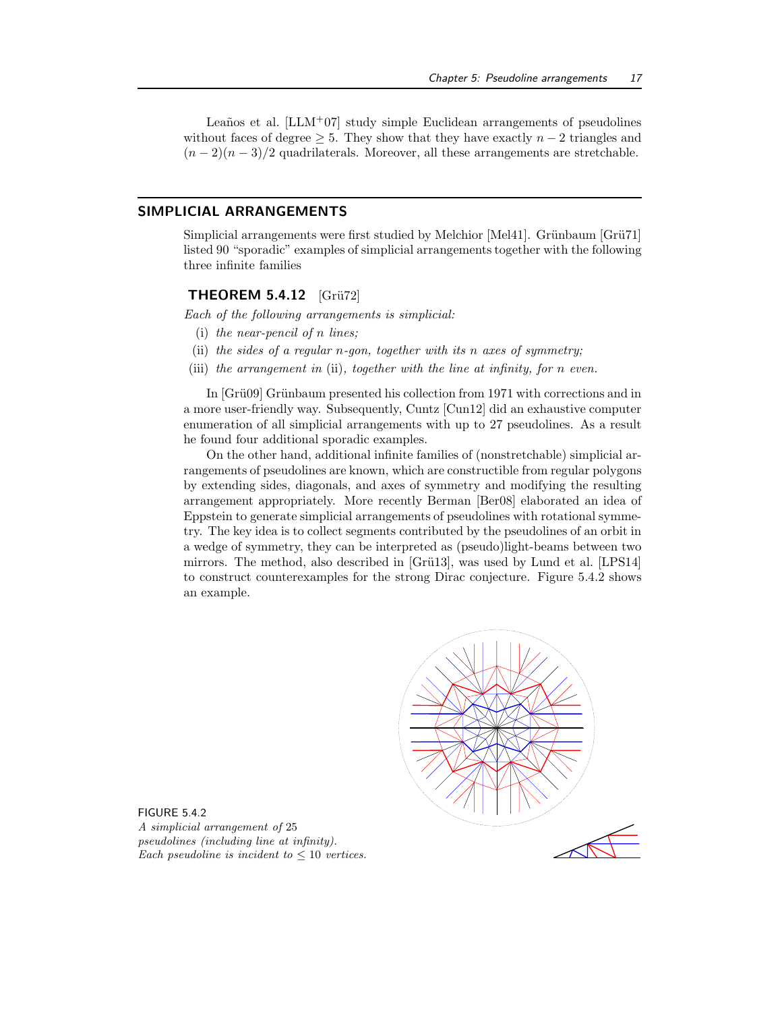Leaños et al.  $[LLM<sup>+</sup>07]$  study simple Euclidean arrangements of pseudolines without faces of degree  $\geq$  5. They show that they have exactly  $n-2$  triangles and  $(n-2)(n-3)/2$  quadrilaterals. Moreover, all these arrangements are stretchable.

## SIMPLICIAL ARRANGEMENTS

Simplicial arrangements were first studied by Melchior [Mel41]. Grünbaum [Grü71] listed 90 "sporadic" examples of simplicial arrangements together with the following three infinite families

## THEOREM  $5.4.12$  [Grü72]

Each of the following arrangements is simplicial:

- (i) the near-pencil of n lines;
- (ii) the sides of a regular n-gon, together with its n axes of symmetry;
- (iii) the arrangement in (ii), together with the line at infinity, for n even.

In [Grü09] Grünbaum presented his collection from 1971 with corrections and in a more user-friendly way. Subsequently, Cuntz [Cun12] did an exhaustive computer enumeration of all simplicial arrangements with up to 27 pseudolines. As a result he found four additional sporadic examples.

On the other hand, additional infinite families of (nonstretchable) simplicial arrangements of pseudolines are known, which are constructible from regular polygons by extending sides, diagonals, and axes of symmetry and modifying the resulting arrangement appropriately. More recently Berman [Ber08] elaborated an idea of Eppstein to generate simplicial arrangements of pseudolines with rotational symmetry. The key idea is to collect segments contributed by the pseudolines of an orbit in a wedge of symmetry, they can be interpreted as (pseudo)light-beams between two mirrors. The method, also described in  $[Grii13]$ , was used by Lund et al.  $[LPS14]$ to construct counterexamples for the strong Dirac conjecture. Figure 5.4.2 shows an example.



FIGURE 5.4.2 A simplicial arrangement of 25 pseudolines (including line at infinity). Each pseudoline is incident to  $\leq 10$  vertices.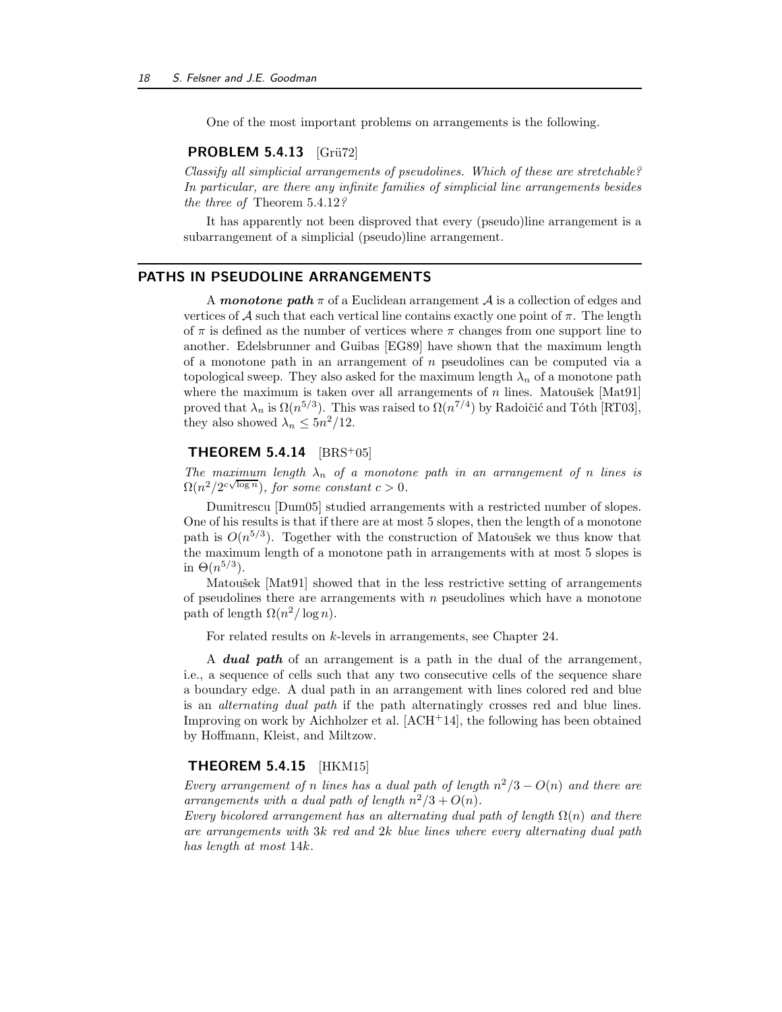One of the most important problems on arrangements is the following.

#### **PROBLEM 5.4.13** [Grü72]

Classify all simplicial arrangements of pseudolines. Which of these are stretchable? In particular, are there any infinite families of simplicial line arrangements besides the three of Theorem 5.4.12?

It has apparently not been disproved that every (pseudo)line arrangement is a subarrangement of a simplicial (pseudo)line arrangement.

## PATHS IN PSEUDOLINE ARRANGEMENTS

A monotone path  $\pi$  of a Euclidean arrangement A is a collection of edges and vertices of A such that each vertical line contains exactly one point of  $\pi$ . The length of  $\pi$  is defined as the number of vertices where  $\pi$  changes from one support line to another. Edelsbrunner and Guibas [EG89] have shown that the maximum length of a monotone path in an arrangement of  $n$  pseudolines can be computed via a topological sweep. They also asked for the maximum length  $\lambda_n$  of a monotone path where the maximum is taken over all arrangements of  $n$  lines. Matoušek [Mat91] proved that  $\lambda_n$  is  $\Omega(n^{5/3})$ . This was raised to  $\Omega(n^{7/4})$  by Radoičić and Tóth [RT03], they also showed  $\lambda_n \leq 5n^2/12$ .

## THEOREM  $5.4.14$  [BRS+05]

The maximum length  $\lambda_n$  of a monotone path in an arrangement of n lines is  $\Omega(n^2/2^{c\sqrt{\log n}}),$  for some constant  $c > 0$ .

Dumitrescu [Dum05] studied arrangements with a restricted number of slopes. One of his results is that if there are at most 5 slopes, then the length of a monotone path is  $O(n^{5/3})$ . Together with the construction of Matoušek we thus know that the maximum length of a monotone path in arrangements with at most 5 slopes is in  $\Theta(n^{5/3})$ .

Matoušek [Mat91] showed that in the less restrictive setting of arrangements of pseudolines there are arrangements with  $n$  pseudolines which have a monotone path of length  $\Omega(n^2/\log n)$ .

For related results on k-levels in arrangements, see Chapter 24.

A **dual path** of an arrangement is a path in the dual of the arrangement, i.e., a sequence of cells such that any two consecutive cells of the sequence share a boundary edge. A dual path in an arrangement with lines colored red and blue is an alternating dual path if the path alternatingly crosses red and blue lines. Improving on work by Aichholzer et al. [ACH+14], the following has been obtained by Hoffmann, Kleist, and Miltzow.

#### **THEOREM 5.4.15** [HKM15]

Every arrangement of n lines has a dual path of length  $n^2/3 - O(n)$  and there are arrangements with a dual path of length  $n^2/3 + O(n)$ .

Every bicolored arrangement has an alternating dual path of length  $\Omega(n)$  and there are arrangements with 3k red and 2k blue lines where every alternating dual path has length at most 14k.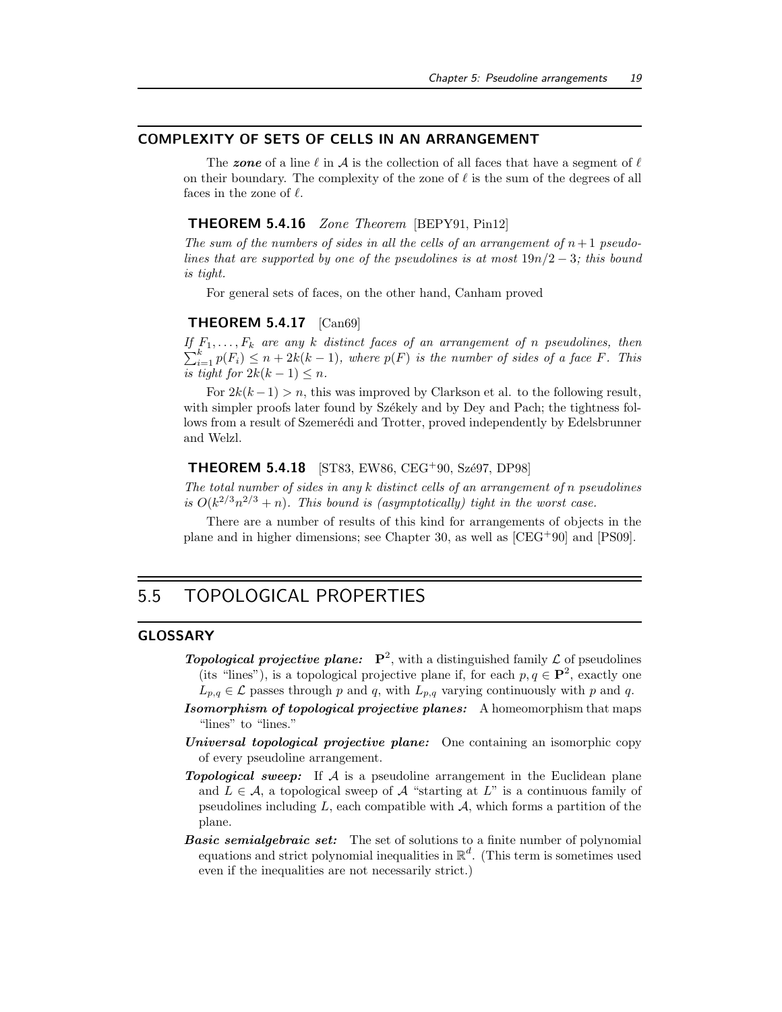## COMPLEXITY OF SETS OF CELLS IN AN ARRANGEMENT

The zone of a line  $\ell$  in A is the collection of all faces that have a segment of  $\ell$ on their boundary. The complexity of the zone of  $\ell$  is the sum of the degrees of all faces in the zone of  $\ell$ .

## THEOREM 5.4.16 Zone Theorem [BEPY91, Pin12]

The sum of the numbers of sides in all the cells of an arrangement of  $n+1$  pseudolines that are supported by one of the pseudolines is at most  $19n/2 - 3$ ; this bound is tight.

For general sets of faces, on the other hand, Canham proved

#### THEOREM 5.4.17 [Can69]

If  $F_1, \ldots, F_k$  are any k distinct faces of an arrangement of n pseudolines, then  $\sum_{i=1}^{k} p(F_i) \leq n + 2k(k-1)$ , where  $p(F)$  is the number of sides of a face F. This is tight for  $2k(k-1) \leq n$ .

For  $2k(k-1) > n$ , this was improved by Clarkson et al. to the following result, with simpler proofs later found by Székely and by Dey and Pach; the tightness follows from a result of Szemerédi and Trotter, proved independently by Edelsbrunner and Welzl.

#### **THEOREM 5.4.18** [ST83, EW86, CEG<sup>+</sup>90, Szé97, DP98]

The total number of sides in any k distinct cells of an arrangement of n pseudolines is  $O(k^{2/3}n^{2/3} + n)$ . This bound is (asymptotically) tight in the worst case.

There are a number of results of this kind for arrangements of objects in the plane and in higher dimensions; see Chapter 30, as well as [CEG<sup>+</sup>90] and [PS09].

## 5.5 TOPOLOGICAL PROPERTIES

## GLOSSARY

- **Topological projective plane:**  $P^2$ , with a distinguished family  $\mathcal L$  of pseudolines (its "lines"), is a topological projective plane if, for each  $p, q \in \mathbf{P}^2$ , exactly one  $L_{p,q} \in \mathcal{L}$  passes through p and q, with  $L_{p,q}$  varying continuously with p and q.
- Isomorphism of topological projective planes: A homeomorphism that maps "lines" to "lines."
- Universal topological projective plane: One containing an isomorphic copy of every pseudoline arrangement.
- **Topological sweep:** If  $A$  is a pseudoline arrangement in the Euclidean plane and  $L \in \mathcal{A}$ , a topological sweep of  $\mathcal{A}$  "starting at L" is a continuous family of pseudolines including  $L$ , each compatible with  $A$ , which forms a partition of the plane.
- **Basic semialgebraic set:** The set of solutions to a finite number of polynomial equations and strict polynomial inequalities in  $\mathbb{R}^d$ . (This term is sometimes used even if the inequalities are not necessarily strict.)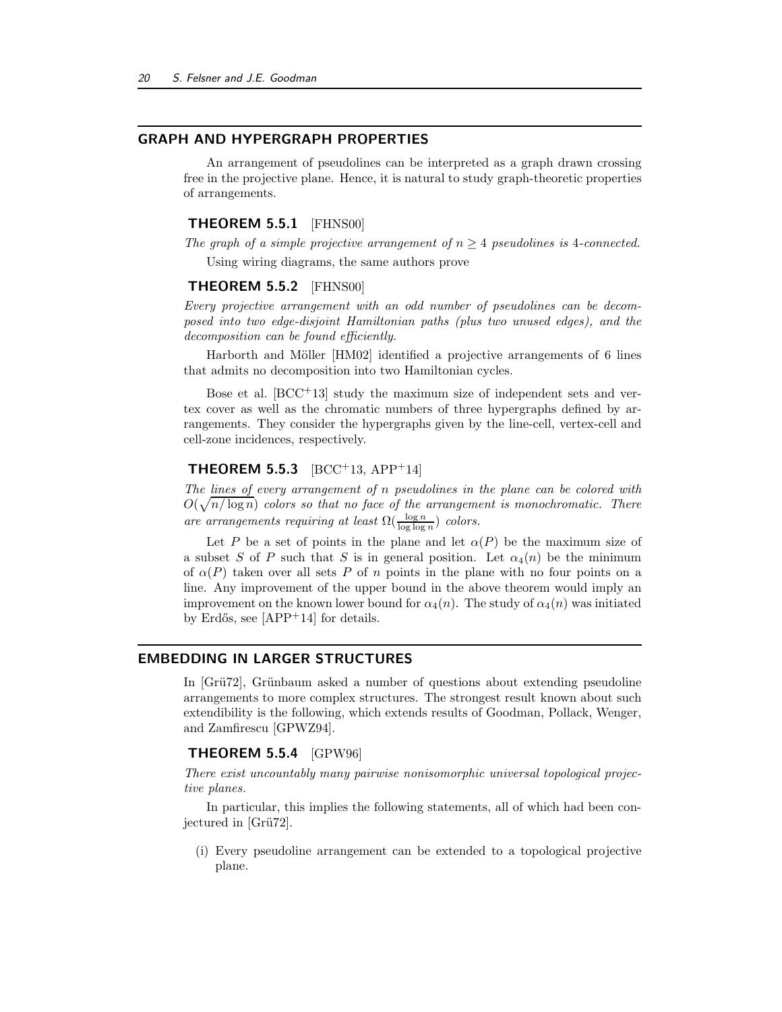## GRAPH AND HYPERGRAPH PROPERTIES

An arrangement of pseudolines can be interpreted as a graph drawn crossing free in the projective plane. Hence, it is natural to study graph-theoretic properties of arrangements.

## **THEOREM 5.5.1** [FHNS00]

The graph of a simple projective arrangement of  $n \geq 4$  pseudolines is 4-connected. Using wiring diagrams, the same authors prove

#### **THEOREM 5.5.2** [FHNS00]

Every projective arrangement with an odd number of pseudolines can be decomposed into two edge-disjoint Hamiltonian paths (plus two unused edges), and the decomposition can be found efficiently.

Harborth and Möller [HM02] identified a projective arrangements of 6 lines that admits no decomposition into two Hamiltonian cycles.

Bose et al.  $[BCC^+13]$  study the maximum size of independent sets and vertex cover as well as the chromatic numbers of three hypergraphs defined by arrangements. They consider the hypergraphs given by the line-cell, vertex-cell and cell-zone incidences, respectively.

## **THEOREM 5.5.3** [BCC+13, APP+14]

The lines of every arrangement of n pseudolines in the plane can be colored with  $O(\sqrt{n/\log n})$  colors so that no face of the arrangement is monochromatic. There are arrangements requiring at least  $\Omega(\frac{\log n}{\log \log n})$  colors.

Let P be a set of points in the plane and let  $\alpha(P)$  be the maximum size of a subset S of P such that S is in general position. Let  $\alpha_4(n)$  be the minimum of  $\alpha(P)$  taken over all sets P of n points in the plane with no four points on a line. Any improvement of the upper bound in the above theorem would imply an improvement on the known lower bound for  $\alpha_4(n)$ . The study of  $\alpha_4(n)$  was initiated by Erdős, see  $[APP+14]$  for details.

#### EMBEDDING IN LARGER STRUCTURES

In [Grü72], Grünbaum asked a number of questions about extending pseudoline arrangements to more complex structures. The strongest result known about such extendibility is the following, which extends results of Goodman, Pollack, Wenger, and Zamfirescu [GPWZ94].

#### THEOREM 5.5.4 [GPW96]

There exist uncountably many pairwise nonisomorphic universal topological projective planes.

In particular, this implies the following statements, all of which had been conjectured in [Grü72].

(i) Every pseudoline arrangement can be extended to a topological projective plane.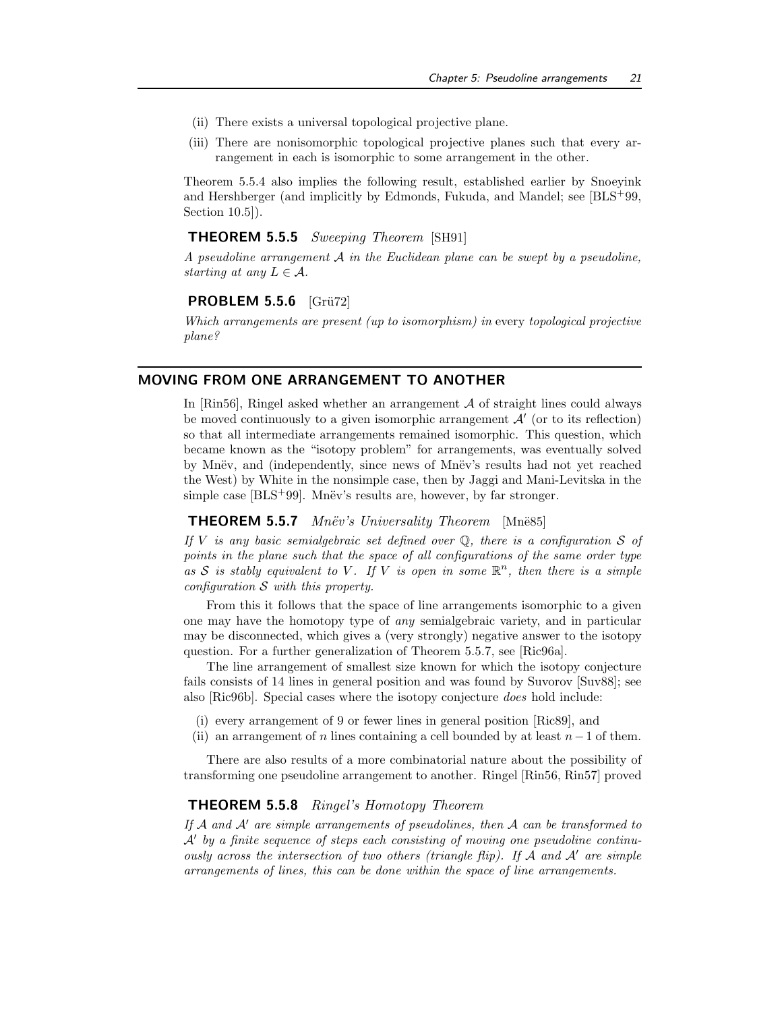- (ii) There exists a universal topological projective plane.
- (iii) There are nonisomorphic topological projective planes such that every arrangement in each is isomorphic to some arrangement in the other.

Theorem 5.5.4 also implies the following result, established earlier by Snoeyink and Hershberger (and implicitly by Edmonds, Fukuda, and Mandel; see [BLS+99, Section 10.5]).

## THEOREM 5.5.5 Sweeping Theorem [SH91]

A pseudoline arrangement  $A$  in the Euclidean plane can be swept by a pseudoline. starting at any  $L \in \mathcal{A}$ .

### **PROBLEM 5.5.6** [Grü72]

Which arrangements are present (up to isomorphism) in every topological projective plane?

## MOVING FROM ONE ARRANGEMENT TO ANOTHER

In  $[\text{Rin56}]$ , Ringel asked whether an arrangement  $\mathcal A$  of straight lines could always be moved continuously to a given isomorphic arrangement  $\mathcal{A}'$  (or to its reflection) so that all intermediate arrangements remained isomorphic. This question, which became known as the "isotopy problem" for arrangements, was eventually solved by Mnëv, and (independently, since news of Mnëv's results had not yet reached the West) by White in the nonsimple case, then by Jaggi and Mani-Levitska in the simple case  $[**BLS**<sup>+</sup>**99**].$  Mnëv's results are, however, by far stronger.

## **THEOREM 5.5.7** Mnëv's Universality Theorem [Mnë85]

If V is any basic semialgebraic set defined over  $\mathbb Q$ , there is a configuration S of points in the plane such that the space of all configurations of the same order type as S is stably equivalent to V. If V is open in some  $\mathbb{R}^n$ , then there is a simple configuration  $S$  with this property.

From this it follows that the space of line arrangements isomorphic to a given one may have the homotopy type of any semialgebraic variety, and in particular may be disconnected, which gives a (very strongly) negative answer to the isotopy question. For a further generalization of Theorem 5.5.7, see [Ric96a].

The line arrangement of smallest size known for which the isotopy conjecture fails consists of 14 lines in general position and was found by Suvorov [Suv88]; see also [Ric96b]. Special cases where the isotopy conjecture does hold include:

- (i) every arrangement of 9 or fewer lines in general position [Ric89], and
- (ii) an arrangement of n lines containing a cell bounded by at least  $n-1$  of them.

There are also results of a more combinatorial nature about the possibility of transforming one pseudoline arrangement to another. Ringel [Rin56, Rin57] proved

#### THEOREM 5.5.8 Ringel's Homotopy Theorem

If A and A' are simple arrangements of pseudolines, then A can be transformed to A′ by a finite sequence of steps each consisting of moving one pseudoline continuously across the intersection of two others (triangle flip). If  $A$  and  $A'$  are simple arrangements of lines, this can be done within the space of line arrangements.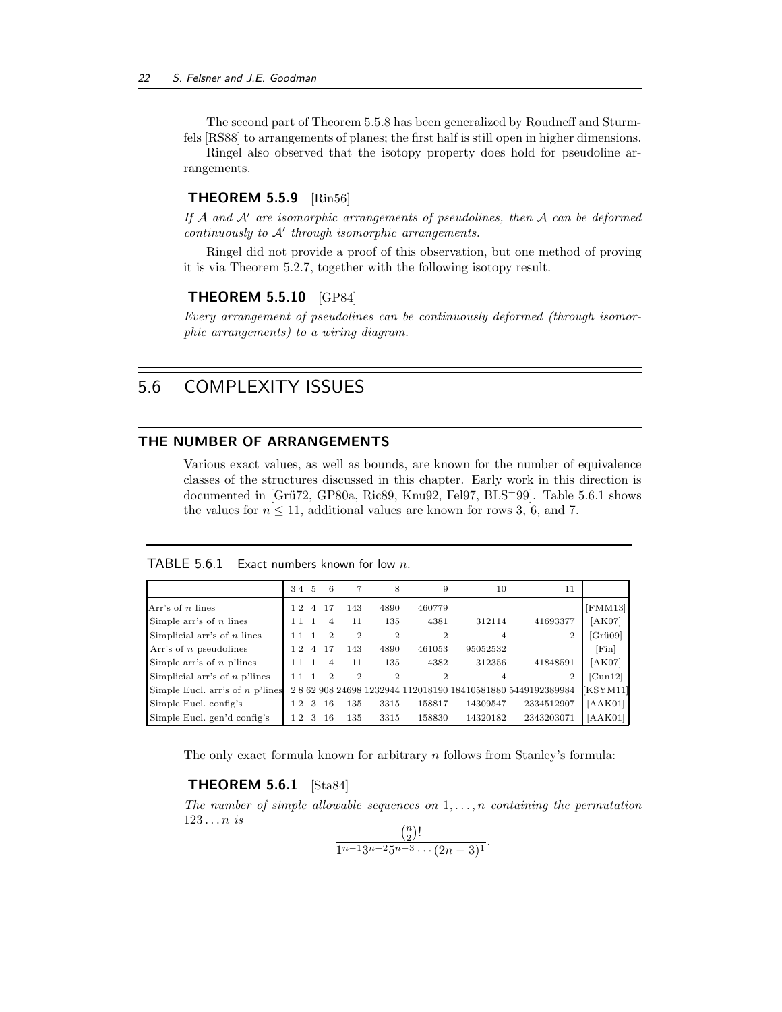The second part of Theorem 5.5.8 has been generalized by Roudneff and Sturmfels [RS88] to arrangements of planes; the first half is still open in higher dimensions.

Ringel also observed that the isotopy property does hold for pseudoline arrangements.

#### **THEOREM 5.5.9** [Rin56]

If  $A$  and  $A'$  are isomorphic arrangements of pseudolines, then  $A$  can be deformed continuously to  $A'$  through isomorphic arrangements.

Ringel did not provide a proof of this observation, but one method of proving it is via Theorem 5.2.7, together with the following isotopy result.

## THEOREM 5.5.10 [GP84]

Every arrangement of pseudolines can be continuously deformed (through isomorphic arrangements) to a wiring diagram.

## 5.6 COMPLEXITY ISSUES

## THE NUMBER OF ARRANGEMENTS

Various exact values, as well as bounds, are known for the number of equivalence classes of the structures discussed in this chapter. Early work in this direction is documented in [Grü72, GP80a, Ric89, Knu92, Fel97, BLS<sup>+</sup>99]. Table 5.6.1 shows the values for  $n \leq 11$ , additional values are known for rows 3, 6, and 7.

|                                   | 34 5       |                | 6  | 7              | 8              | 9              | 10       | 11                                                   |          |
|-----------------------------------|------------|----------------|----|----------------|----------------|----------------|----------|------------------------------------------------------|----------|
| Arr's of $n$ lines                | 12         | 4              | 17 | 143            | 4890           | 460779         |          |                                                      | [FMM13]  |
| Simple arr's of $n$ lines         | 11         |                | 4  | 11             | 135            | 4381           | 312114   | 41693377                                             | [AK07]   |
| Simplicial arr's of $n$ lines     |            |                | 2  | 2              | $\overline{2}$ | $\overline{2}$ | 4        | $\overline{2}$                                       | [Gri09]  |
| Arr's of $n$ pseudolines          | 12         | $\overline{A}$ | 17 | 143            | 4890           | 461053         | 95052532 |                                                      | [Fin]    |
| Simple arr's of $n$ p'lines       | 11         |                | 4  | 11             | 135            | 4382           | 312356   | 41848591                                             | [AK07]   |
| Simplicial arr's of $n$ p'lines   |            |                | 2  | $\overline{2}$ | $\overline{2}$ | $\overline{2}$ | 4        | 2                                                    | [Cun12]  |
| Simple Eucl. arr's of $n$ p'lines |            |                |    |                |                |                |          | 2862908246981232944112018190184105818805449192389984 | [KSYM11] |
| Simple Eucl. config's             | $\sqrt{2}$ | 3              | 16 | 135            | 3315           | 158817         | 14309547 | 2334512907                                           | [AAK01]  |
| Simple Eucl. gen'd config's       | l 2        | 3              | 16 | 135            | 3315           | 158830         | 14320182 | 2343203071                                           | [AAK01]  |

The only exact formula known for arbitrary  $n$  follows from Stanley's formula:

### THEOREM 5.6.1 [Sta84]

The number of simple allowable sequences on  $1, \ldots, n$  containing the permutation  $123 \ldots n$  is

$$
\frac{\binom{n}{2}!}{1^{n-1}3^{n-2}5^{n-3}\cdots(2n-3)^1}.
$$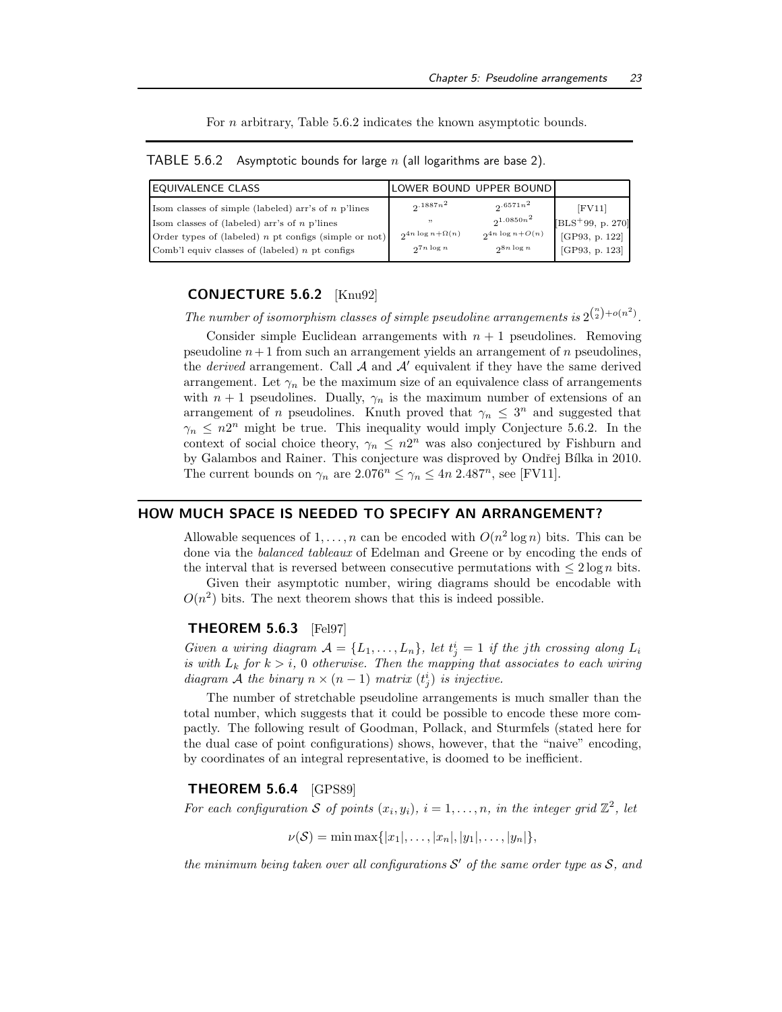For *n* arbitrary, Table 5.6.2 indicates the known asymptotic bounds.

|  |  |  |  | TABLE 5.6.2 Asymptotic bounds for large $n$ (all logarithms are base 2). |  |  |
|--|--|--|--|--------------------------------------------------------------------------|--|--|
|--|--|--|--|--------------------------------------------------------------------------|--|--|

| EQUIVALENCE CLASS                                       |                             | LOWER BOUND UPPER BOUND |                    |
|---------------------------------------------------------|-----------------------------|-------------------------|--------------------|
| Isom classes of simple (labeled) arr's of $n$ p'lines   | $2.1887n^2$                 | $2.6571n^2$             | $[$ FV11 $]$       |
| Isom classes of (labeled) arr's of $n$ p'lines          | , 7, 7                      | $2^{1.0850n^2}$         | $[BLS+99, p. 270]$ |
| Order types of (labeled) $n$ pt configs (simple or not) | $2^{4n \log n + \Omega(n)}$ | $2^{4n \log n + O(n)}$  | [GP93, p. 122]     |
| Comb'l equiv classes of (labeled) $n$ pt configs        | $27n \log n$                | $2^{8n \log n}$         | [GP93, p. 123]     |

## CONJECTURE 5.6.2 [Knu92]

The number of isomorphism classes of simple pseudoline arrangements is  $2^{n \choose 2} + o(n^2)$ .

Consider simple Euclidean arrangements with  $n + 1$  pseudolines. Removing pseudoline  $n+1$  from such an arrangement yields an arrangement of n pseudolines, the *derived* arrangement. Call  $\mathcal A$  and  $\mathcal A'$  equivalent if they have the same derived arrangement. Let  $\gamma_n$  be the maximum size of an equivalence class of arrangements with  $n + 1$  pseudolines. Dually,  $\gamma_n$  is the maximum number of extensions of an arrangement of n pseudolines. Knuth proved that  $\gamma_n \leq 3^n$  and suggested that  $\gamma_n \leq n2^n$  might be true. This inequality would imply Conjecture 5.6.2. In the context of social choice theory,  $\gamma_n \leq n^2$  was also conjectured by Fishburn and by Galambos and Rainer. This conjecture was disproved by Ondřej Bílka in 2010. The current bounds on  $\gamma_n$  are  $2.076^n \leq \gamma_n \leq 4n \cdot 2.487^n$ , see [FV11].

## HOW MUCH SPACE IS NEEDED TO SPECIFY AN ARRANGEMENT?

Allowable sequences of  $1, \ldots, n$  can be encoded with  $O(n^2 \log n)$  bits. This can be done via the balanced tableaux of Edelman and Greene or by encoding the ends of the interval that is reversed between consecutive permutations with  $\leq 2 \log n$  bits.

Given their asymptotic number, wiring diagrams should be encodable with  $O(n^2)$  bits. The next theorem shows that this is indeed possible.

#### THEOREM 5.6.3 [Fel97]

Given a wiring diagram  $A = \{L_1, \ldots, L_n\}$ , let  $t_j^i = 1$  if the jth crossing along  $L_i$ is with  $L_k$  for  $k > i$ , 0 otherwise. Then the mapping that associates to each wiring diagram A the binary  $n \times (n-1)$  matrix  $(t_j^i)$  is injective.

The number of stretchable pseudoline arrangements is much smaller than the total number, which suggests that it could be possible to encode these more compactly. The following result of Goodman, Pollack, and Sturmfels (stated here for the dual case of point configurations) shows, however, that the "naive" encoding, by coordinates of an integral representative, is doomed to be inefficient.

### THEOREM 5.6.4 [GPS89]

For each configuration S of points  $(x_i, y_i)$ ,  $i = 1, \ldots, n$ , in the integer grid  $\mathbb{Z}^2$ , let

 $\nu(\mathcal{S}) = \min \max\{|x_1|, \ldots, |x_n|, |y_1|, \ldots, |y_n|\},$ 

the minimum being taken over all configurations  $\mathcal{S}'$  of the same order type as  $\mathcal{S}$ , and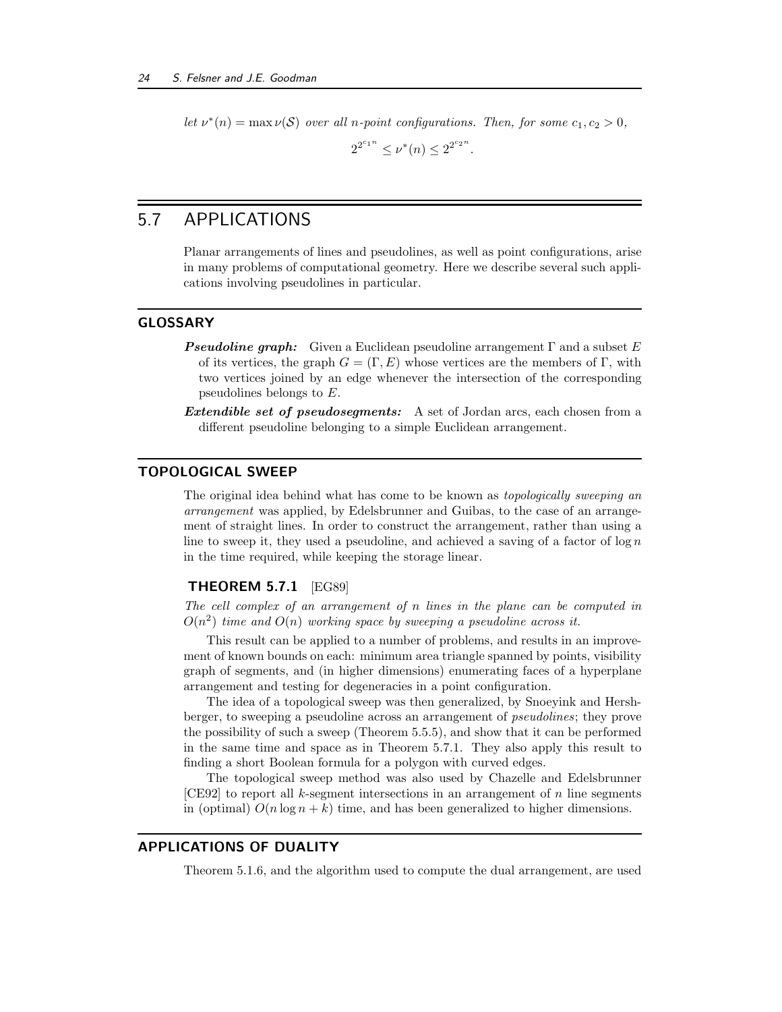let  $\nu^*(n) = \max \nu(S)$  over all n-point configurations. Then, for some  $c_1, c_2 > 0$ ,

 $2^{2^{c_1 n}} \leq \nu^*(n) \leq 2^{2^{c_2 n}}.$ 

## 5.7 APPLICATIONS

Planar arrangements of lines and pseudolines, as well as point configurations, arise in many problems of computational geometry. Here we describe several such applications involving pseudolines in particular.

## GLOSSARY

- **Pseudoline graph:** Given a Euclidean pseudoline arrangement  $\Gamma$  and a subset E of its vertices, the graph  $G = (\Gamma, E)$  whose vertices are the members of  $\Gamma$ , with two vertices joined by an edge whenever the intersection of the corresponding pseudolines belongs to E.
- Extendible set of pseudosegments: A set of Jordan arcs, each chosen from a different pseudoline belonging to a simple Euclidean arrangement.

## TOPOLOGICAL SWEEP

The original idea behind what has come to be known as *topologically sweeping an* arrangement was applied, by Edelsbrunner and Guibas, to the case of an arrangement of straight lines. In order to construct the arrangement, rather than using a line to sweep it, they used a pseudoline, and achieved a saving of a factor of  $\log n$ in the time required, while keeping the storage linear.

## **THEOREM 5.7.1** [EG89]

The cell complex of an arrangement of n lines in the plane can be computed in  $O(n^2)$  time and  $O(n)$  working space by sweeping a pseudoline across it.

This result can be applied to a number of problems, and results in an improvement of known bounds on each: minimum area triangle spanned by points, visibility graph of segments, and (in higher dimensions) enumerating faces of a hyperplane arrangement and testing for degeneracies in a point configuration.

The idea of a topological sweep was then generalized, by Snoeyink and Hershberger, to sweeping a pseudoline across an arrangement of pseudolines; they prove the possibility of such a sweep (Theorem 5.5.5), and show that it can be performed in the same time and space as in Theorem 5.7.1. They also apply this result to finding a short Boolean formula for a polygon with curved edges.

The topological sweep method was also used by Chazelle and Edelsbrunner [CE92] to report all k-segment intersections in an arrangement of n line segments in (optimal)  $O(n \log n + k)$  time, and has been generalized to higher dimensions.

## APPLICATIONS OF DUALITY

Theorem 5.1.6, and the algorithm used to compute the dual arrangement, are used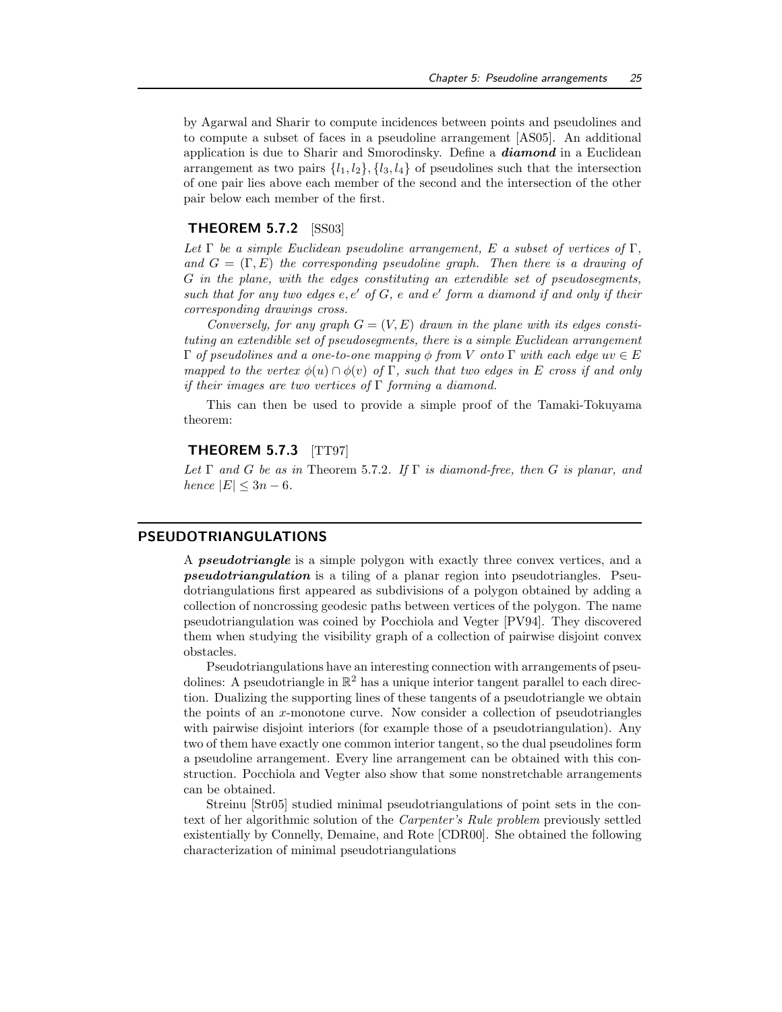by Agarwal and Sharir to compute incidences between points and pseudolines and to compute a subset of faces in a pseudoline arrangement [AS05]. An additional application is due to Sharir and Smorodinsky. Define a diamond in a Euclidean arrangement as two pairs  $\{l_1, l_2\}$ ,  $\{l_3, l_4\}$  of pseudolines such that the intersection of one pair lies above each member of the second and the intersection of the other pair below each member of the first.

### THEOREM 5.7.2 [SS03]

Let  $\Gamma$  be a simple Euclidean pseudoline arrangement, E a subset of vertices of  $\Gamma$ . and  $G = (\Gamma, E)$  the corresponding pseudoline graph. Then there is a drawing of G in the plane, with the edges constituting an extendible set of pseudosegments, such that for any two edges  $e, e'$  of  $G, e$  and  $e'$  form a diamond if and only if their corresponding drawings cross.

Conversely, for any graph  $G = (V, E)$  drawn in the plane with its edges constituting an extendible set of pseudosegments, there is a simple Euclidean arrangement  $Γ$  of pseudolines and a one-to-one mapping  $φ$  from V onto  $Γ$  with each edge uv  $∈ E$ mapped to the vertex  $\phi(u) \cap \phi(v)$  of  $\Gamma$ , such that two edges in E cross if and only if their images are two vertices of  $\Gamma$  forming a diamond.

This can then be used to provide a simple proof of the Tamaki-Tokuyama theorem:

## **THEOREM 5.7.3** [TT97]

Let  $\Gamma$  and  $G$  be as in Theorem 5.7.2. If  $\Gamma$  is diamond-free, then  $G$  is planar, and hence  $|E| \leq 3n - 6$ .

## PSEUDOTRIANGULATIONS

A pseudotriangle is a simple polygon with exactly three convex vertices, and a pseudotriangulation is a tiling of a planar region into pseudotriangles. Pseudotriangulations first appeared as subdivisions of a polygon obtained by adding a collection of noncrossing geodesic paths between vertices of the polygon. The name pseudotriangulation was coined by Pocchiola and Vegter [PV94]. They discovered them when studying the visibility graph of a collection of pairwise disjoint convex obstacles.

Pseudotriangulations have an interesting connection with arrangements of pseudolines: A pseudotriangle in  $\mathbb{R}^2$  has a unique interior tangent parallel to each direction. Dualizing the supporting lines of these tangents of a pseudotriangle we obtain the points of an x-monotone curve. Now consider a collection of pseudotriangles with pairwise disjoint interiors (for example those of a pseudotriangulation). Any two of them have exactly one common interior tangent, so the dual pseudolines form a pseudoline arrangement. Every line arrangement can be obtained with this construction. Pocchiola and Vegter also show that some nonstretchable arrangements can be obtained.

Streinu [Str05] studied minimal pseudotriangulations of point sets in the context of her algorithmic solution of the Carpenter's Rule problem previously settled existentially by Connelly, Demaine, and Rote [CDR00]. She obtained the following characterization of minimal pseudotriangulations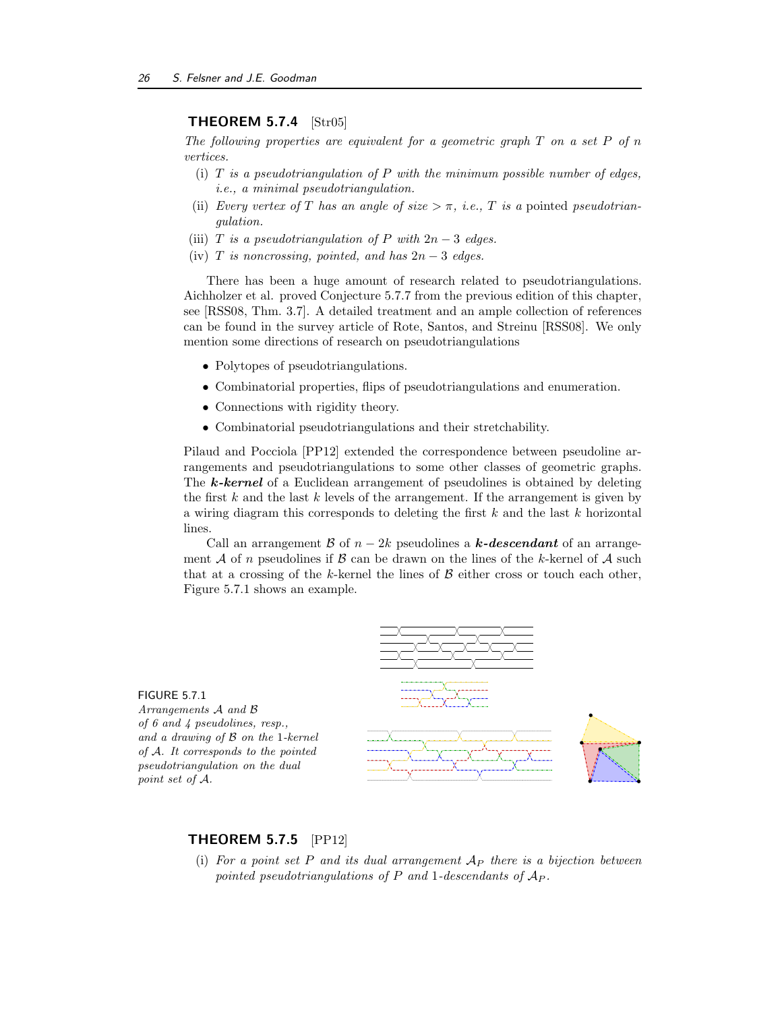## THEOREM 5.7.4 [Str05]

The following properties are equivalent for a geometric graph  $T$  on a set  $P$  of  $n$ vertices.

- (i)  $T$  is a pseudotriangulation of  $P$  with the minimum possible number of edges, i.e., a minimal pseudotriangulation.
- (ii) Every vertex of T has an angle of size  $>\pi$ , i.e., T is a pointed pseudotriangulation.
- (iii) T is a pseudotriangulation of P with  $2n-3$  edges.
- (iv) T is noncrossing, pointed, and has  $2n-3$  edges.

There has been a huge amount of research related to pseudotriangulations. Aichholzer et al. proved Conjecture 5.7.7 from the previous edition of this chapter, see [RSS08, Thm. 3.7]. A detailed treatment and an ample collection of references can be found in the survey article of Rote, Santos, and Streinu [RSS08]. We only mention some directions of research on pseudotriangulations

- Polytopes of pseudotriangulations.
- Combinatorial properties, flips of pseudotriangulations and enumeration.
- Connections with rigidity theory.
- Combinatorial pseudotriangulations and their stretchability.

Pilaud and Pocciola [PP12] extended the correspondence between pseudoline arrangements and pseudotriangulations to some other classes of geometric graphs. The **k-kernel** of a Euclidean arrangement of pseudolines is obtained by deleting the first  $k$  and the last  $k$  levels of the arrangement. If the arrangement is given by a wiring diagram this corresponds to deleting the first  $k$  and the last  $k$  horizontal lines.

Call an arrangement B of  $n-2k$  pseudolines a k-descendant of an arrangement A of n pseudolines if B can be drawn on the lines of the k-kernel of A such that at a crossing of the k-kernel the lines of  $\beta$  either cross or touch each other, Figure 5.7.1 shows an example.



## THEOREM 5.7.5 [PP12]

(i) For a point set P and its dual arrangement  $A_P$  there is a bijection between pointed pseudotriangulations of  $P$  and 1-descendants of  $A_P$ .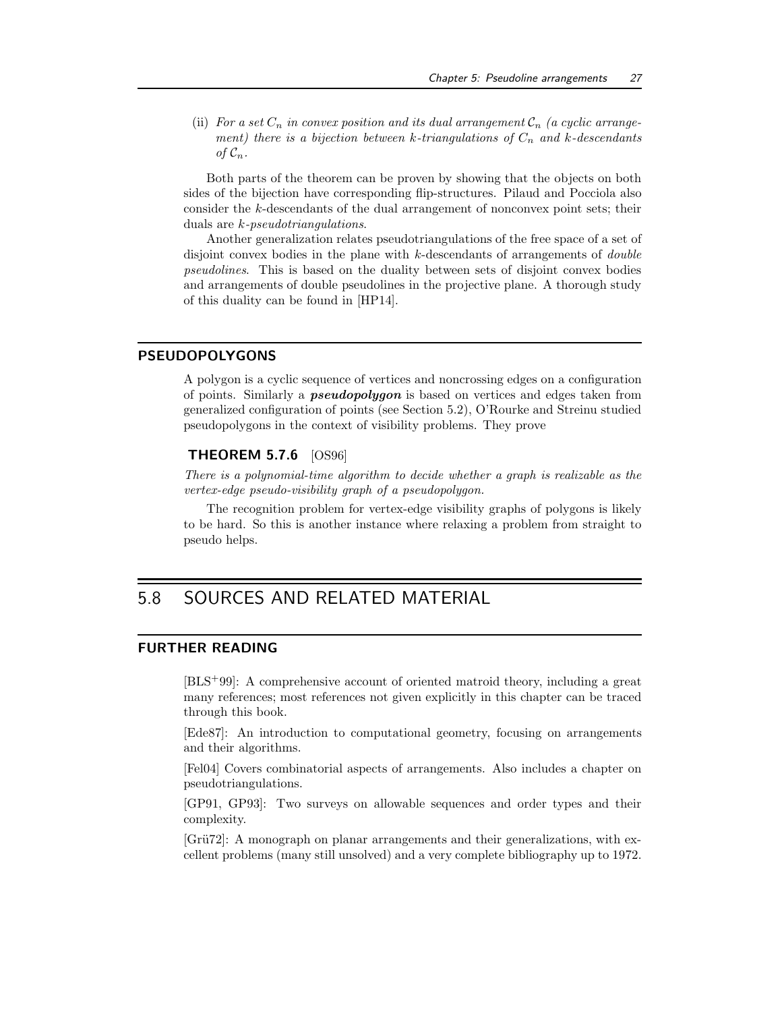(ii) For a set  $C_n$  in convex position and its dual arrangement  $C_n$  (a cyclic arrangement) there is a bijection between k-triangulations of  $C_n$  and k-descendants of  $\mathcal{C}_n$ .

Both parts of the theorem can be proven by showing that the objects on both sides of the bijection have corresponding flip-structures. Pilaud and Pocciola also consider the k-descendants of the dual arrangement of nonconvex point sets; their duals are k-pseudotriangulations.

Another generalization relates pseudotriangulations of the free space of a set of disjoint convex bodies in the plane with k-descendants of arrangements of double pseudolines. This is based on the duality between sets of disjoint convex bodies and arrangements of double pseudolines in the projective plane. A thorough study of this duality can be found in [HP14].

## PSEUDOPOLYGONS

A polygon is a cyclic sequence of vertices and noncrossing edges on a configuration of points. Similarly a pseudopolygon is based on vertices and edges taken from generalized configuration of points (see Section 5.2), O'Rourke and Streinu studied pseudopolygons in the context of visibility problems. They prove

## THEOREM 5.7.6 [OS96]

There is a polynomial-time algorithm to decide whether a graph is realizable as the vertex-edge pseudo-visibility graph of a pseudopolygon.

The recognition problem for vertex-edge visibility graphs of polygons is likely to be hard. So this is another instance where relaxing a problem from straight to pseudo helps.

## 5.8 SOURCES AND RELATED MATERIAL

## FURTHER READING

[BLS+99]: A comprehensive account of oriented matroid theory, including a great many references; most references not given explicitly in this chapter can be traced through this book.

[Ede87]: An introduction to computational geometry, focusing on arrangements and their algorithms.

[Fel04] Covers combinatorial aspects of arrangements. Also includes a chapter on pseudotriangulations.

[GP91, GP93]: Two surveys on allowable sequences and order types and their complexity.

[Grü72]: A monograph on planar arrangements and their generalizations, with excellent problems (many still unsolved) and a very complete bibliography up to 1972.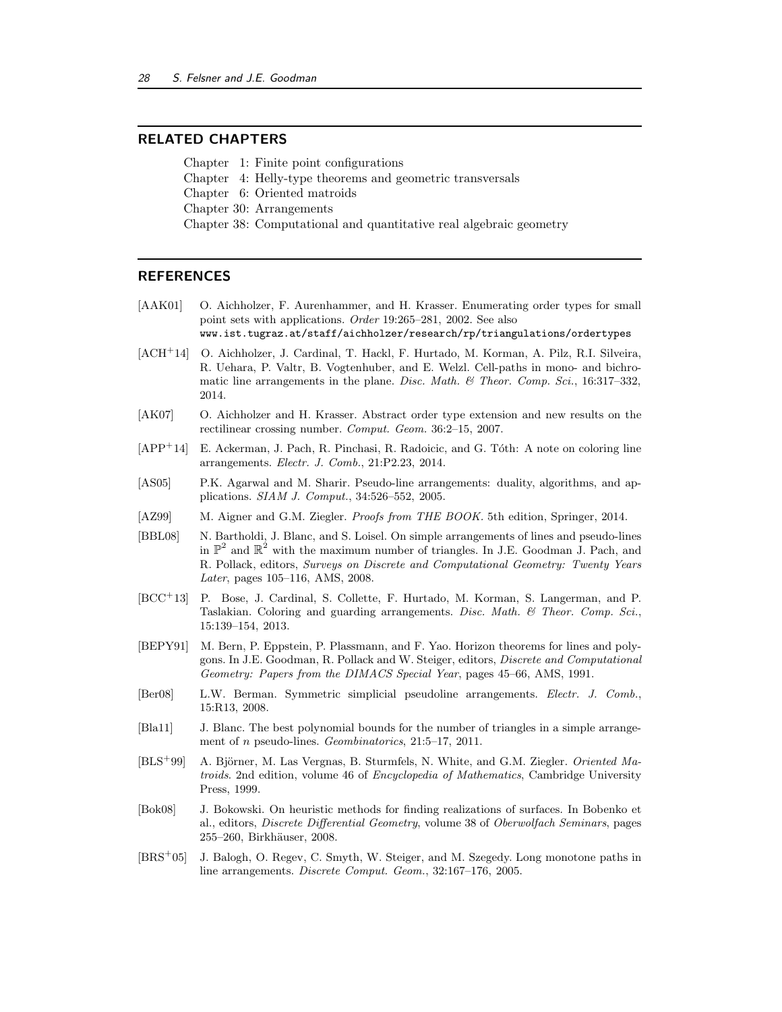## RELATED CHAPTERS

Chapter 1: Finite point configurations

Chapter 4: Helly-type theorems and geometric transversals

Chapter 6: Oriented matroids

Chapter 30: Arrangements

Chapter 38: Computational and quantitative real algebraic geometry

### **REFERENCES**

[AAK01] O. Aichholzer, F. Aurenhammer, and H. Krasser. Enumerating order types for small point sets with applications. Order 19:265–281, 2002. See also

www.ist.tugraz.at/staff/aichholzer/research/rp/triangulations/ordertypes

- [ACH<sup>+</sup>14] O. Aichholzer, J. Cardinal, T. Hackl, F. Hurtado, M. Korman, A. Pilz, R.I. Silveira, R. Uehara, P. Valtr, B. Vogtenhuber, and E. Welzl. Cell-paths in mono- and bichromatic line arrangements in the plane. Disc. Math.  $\mathcal{B}$  Theor. Comp. Sci., 16:317–332, 2014.
- [AK07] O. Aichholzer and H. Krasser. Abstract order type extension and new results on the rectilinear crossing number. Comput. Geom. 36:2–15, 2007.
- [APP<sup>+</sup>14] E. Ackerman, J. Pach, R. Pinchasi, R. Radoicic, and G. Tóth: A note on coloring line arrangements. Electr. J. Comb., 21:P2.23, 2014.
- [AS05] P.K. Agarwal and M. Sharir. Pseudo-line arrangements: duality, algorithms, and applications. SIAM J. Comput., 34:526–552, 2005.
- [AZ99] M. Aigner and G.M. Ziegler. *Proofs from THE BOOK*. 5th edition, Springer, 2014.
- [BBL08] N. Bartholdi, J. Blanc, and S. Loisel. On simple arrangements of lines and pseudo-lines in  $\mathbb{P}^2$  and  $\mathbb{R}^2$  with the maximum number of triangles. In J.E. Goodman J. Pach, and R. Pollack, editors, Surveys on Discrete and Computational Geometry: Twenty Years Later, pages 105–116, AMS, 2008.
- [BCC<sup>+</sup>13] P. Bose, J. Cardinal, S. Collette, F. Hurtado, M. Korman, S. Langerman, and P. Taslakian. Coloring and guarding arrangements. Disc. Math. & Theor. Comp. Sci., 15:139–154, 2013.
- [BEPY91] M. Bern, P. Eppstein, P. Plassmann, and F. Yao. Horizon theorems for lines and polygons. In J.E. Goodman, R. Pollack and W. Steiger, editors, Discrete and Computational Geometry: Papers from the DIMACS Special Year, pages 45–66, AMS, 1991.
- [Ber08] L.W. Berman. Symmetric simplicial pseudoline arrangements. Electr. J. Comb., 15:R13, 2008.
- [Bla11] J. Blanc. The best polynomial bounds for the number of triangles in a simple arrangement of n pseudo-lines. Geombinatorics, 21:5–17, 2011.
- [BLS<sup>+</sup>99] A. Björner, M. Las Vergnas, B. Sturmfels, N. White, and G.M. Ziegler. *Oriented Ma*troids. 2nd edition, volume 46 of Encyclopedia of Mathematics, Cambridge University Press, 1999.
- [Bok08] J. Bokowski. On heuristic methods for finding realizations of surfaces. In Bobenko et al., editors, Discrete Differential Geometry, volume 38 of Oberwolfach Seminars, pages 255–260, Birkhäuser, 2008.
- [BRS<sup>+</sup>05] J. Balogh, O. Regev, C. Smyth, W. Steiger, and M. Szegedy. Long monotone paths in line arrangements. Discrete Comput. Geom., 32:167–176, 2005.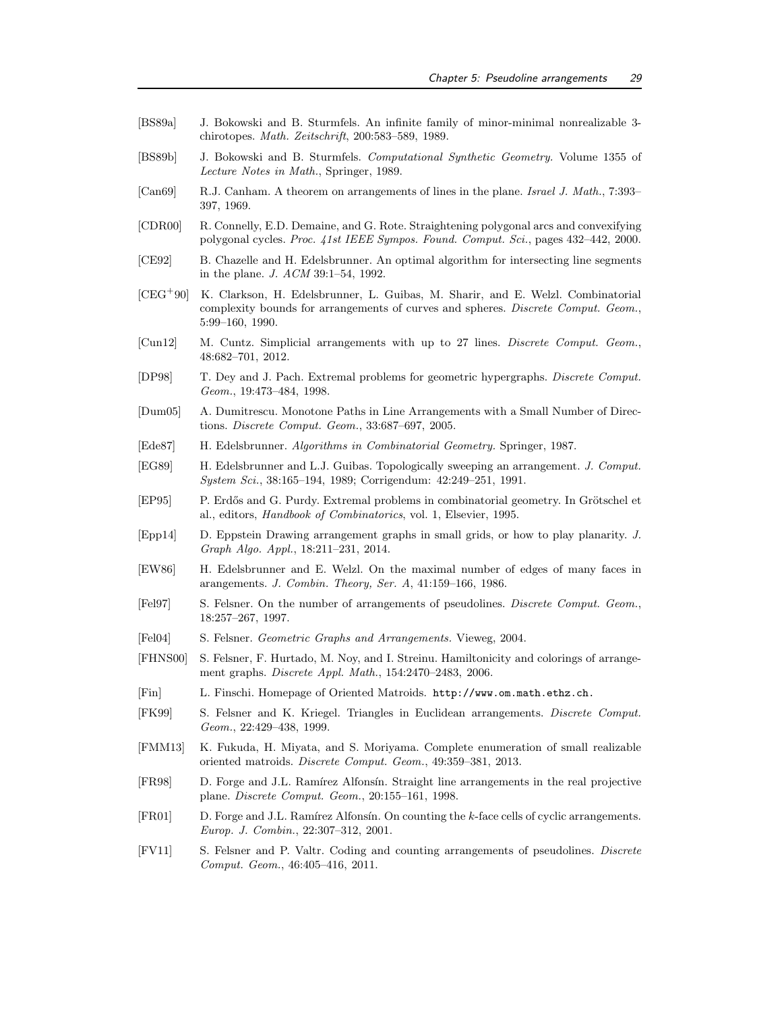- [BS89a] J. Bokowski and B. Sturmfels. An infinite family of minor-minimal nonrealizable 3 chirotopes. Math. Zeitschrift, 200:583–589, 1989.
- [BS89b] J. Bokowski and B. Sturmfels. Computational Synthetic Geometry. Volume 1355 of Lecture Notes in Math., Springer, 1989.
- [Can69] R.J. Canham. A theorem on arrangements of lines in the plane. Israel J. Math., 7:393– 397, 1969.
- [CDR00] R. Connelly, E.D. Demaine, and G. Rote. Straightening polygonal arcs and convexifying polygonal cycles. Proc. 41st IEEE Sympos. Found. Comput. Sci., pages 432–442, 2000.
- [CE92] B. Chazelle and H. Edelsbrunner. An optimal algorithm for intersecting line segments in the plane. J. ACM 39:1–54, 1992.
- [CEG<sup>+</sup>90] K. Clarkson, H. Edelsbrunner, L. Guibas, M. Sharir, and E. Welzl. Combinatorial complexity bounds for arrangements of curves and spheres. Discrete Comput. Geom., 5:99–160, 1990.
- [Cun12] M. Cuntz. Simplicial arrangements with up to 27 lines. Discrete Comput. Geom., 48:682–701, 2012.
- [DP98] T. Dey and J. Pach. Extremal problems for geometric hypergraphs. Discrete Comput. Geom., 19:473–484, 1998.
- [Dum05] A. Dumitrescu. Monotone Paths in Line Arrangements with a Small Number of Directions. Discrete Comput. Geom., 33:687–697, 2005.
- [Ede87] H. Edelsbrunner. Algorithms in Combinatorial Geometry. Springer, 1987.
- [EG89] H. Edelsbrunner and L.J. Guibas. Topologically sweeping an arrangement. J. Comput. System Sci., 38:165–194, 1989; Corrigendum: 42:249–251, 1991.
- [EP95] P. Erdős and G. Purdy. Extremal problems in combinatorial geometry. In Grötschel et al., editors, Handbook of Combinatorics, vol. 1, Elsevier, 1995.
- [Epp14] D. Eppstein Drawing arrangement graphs in small grids, or how to play planarity. J. Graph Algo. Appl., 18:211–231, 2014.
- [EW86] H. Edelsbrunner and E. Welzl. On the maximal number of edges of many faces in arangements. J. Combin. Theory, Ser. A, 41:159–166, 1986.
- [Fel97] S. Felsner. On the number of arrangements of pseudolines. Discrete Comput. Geom., 18:257–267, 1997.
- [Fel04] S. Felsner. Geometric Graphs and Arrangements. Vieweg, 2004.
- [FHNS00] S. Felsner, F. Hurtado, M. Noy, and I. Streinu. Hamiltonicity and colorings of arrangement graphs. Discrete Appl. Math., 154:2470–2483, 2006.
- [Fin] L. Finschi. Homepage of Oriented Matroids. http://www.om.math.ethz.ch.
- [FK99] S. Felsner and K. Kriegel. Triangles in Euclidean arrangements. Discrete Comput. Geom., 22:429–438, 1999.
- [FMM13] K. Fukuda, H. Miyata, and S. Moriyama. Complete enumeration of small realizable oriented matroids. Discrete Comput. Geom., 49:359–381, 2013.
- [FR98] D. Forge and J.L. Ramírez Alfonsín. Straight line arrangements in the real projective plane. Discrete Comput. Geom., 20:155–161, 1998.
- [FR01] D. Forge and J.L. Ramírez Alfonsín. On counting the k-face cells of cyclic arrangements. Europ. J. Combin., 22:307–312, 2001.
- [FV11] S. Felsner and P. Valtr. Coding and counting arrangements of pseudolines. Discrete Comput. Geom., 46:405–416, 2011.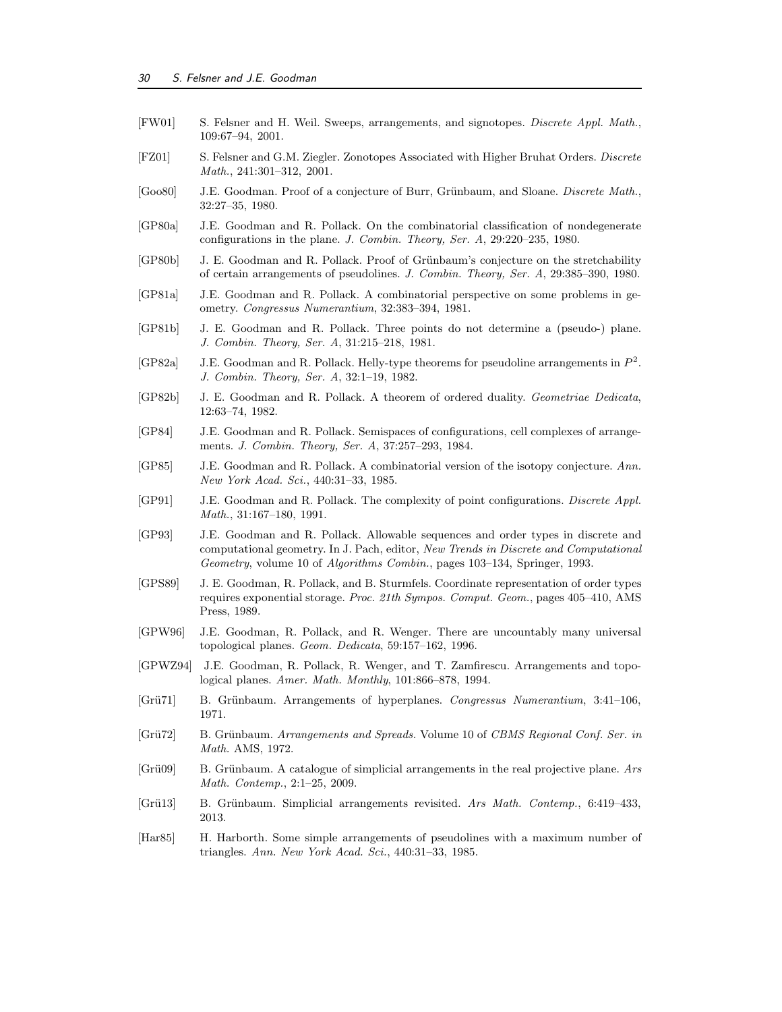- [FW01] S. Felsner and H. Weil. Sweeps, arrangements, and signotopes. Discrete Appl. Math., 109:67–94, 2001.
- [FZ01] S. Felsner and G.M. Ziegler. Zonotopes Associated with Higher Bruhat Orders. Discrete Math., 241:301–312, 2001.
- [Goo80] J.E. Goodman. Proof of a conjecture of Burr, Grünbaum, and Sloane. *Discrete Math.*, 32:27–35, 1980.
- [GP80a] J.E. Goodman and R. Pollack. On the combinatorial classification of nondegenerate configurations in the plane. J. Combin. Theory, Ser. A, 29:220–235, 1980.
- [GP80b] J. E. Goodman and R. Pollack. Proof of Grünbaum's conjecture on the stretchability of certain arrangements of pseudolines. J. Combin. Theory, Ser. A, 29:385–390, 1980.
- [GP81a] J.E. Goodman and R. Pollack. A combinatorial perspective on some problems in geometry. Congressus Numerantium, 32:383–394, 1981.
- [GP81b] J. E. Goodman and R. Pollack. Three points do not determine a (pseudo-) plane. J. Combin. Theory, Ser. A, 31:215–218, 1981.
- [GP82a] J.E. Goodman and R. Pollack. Helly-type theorems for pseudoline arrangements in  $P^2$ . J. Combin. Theory, Ser. A, 32:1–19, 1982.
- [GP82b] J. E. Goodman and R. Pollack. A theorem of ordered duality. Geometriae Dedicata, 12:63–74, 1982.
- [GP84] J.E. Goodman and R. Pollack. Semispaces of configurations, cell complexes of arrangements. J. Combin. Theory, Ser. A, 37:257–293, 1984.
- [GP85] J.E. Goodman and R. Pollack. A combinatorial version of the isotopy conjecture. Ann. New York Acad. Sci., 440:31–33, 1985.
- [GP91] J.E. Goodman and R. Pollack. The complexity of point configurations. Discrete Appl. Math., 31:167–180, 1991.
- [GP93] J.E. Goodman and R. Pollack. Allowable sequences and order types in discrete and computational geometry. In J. Pach, editor, New Trends in Discrete and Computational Geometry, volume 10 of Algorithms Combin., pages 103–134, Springer, 1993.
- [GPS89] J. E. Goodman, R. Pollack, and B. Sturmfels. Coordinate representation of order types requires exponential storage. Proc. 21th Sympos. Comput. Geom., pages 405–410, AMS Press, 1989.
- [GPW96] J.E. Goodman, R. Pollack, and R. Wenger. There are uncountably many universal topological planes. Geom. Dedicata, 59:157–162, 1996.
- [GPWZ94] J.E. Goodman, R. Pollack, R. Wenger, and T. Zamfirescu. Arrangements and topological planes. Amer. Math. Monthly, 101:866–878, 1994.
- [Grü71] B. Grünbaum. Arrangements of hyperplanes. Congressus Numerantium, 3:41-106, 1971.
- [Grü72] B. Grünbaum. Arrangements and Spreads. Volume 10 of CBMS Regional Conf. Ser. in Math. AMS, 1972.
- [Grü09] B. Grünbaum. A catalogue of simplicial arrangements in the real projective plane. Ars Math. Contemp., 2:1–25, 2009.
- [Grü13] B. Grünbaum. Simplicial arrangements revisited. Ars Math. Contemp., 6:419-433, 2013.
- [Har85] H. Harborth. Some simple arrangements of pseudolines with a maximum number of triangles. Ann. New York Acad. Sci., 440:31–33, 1985.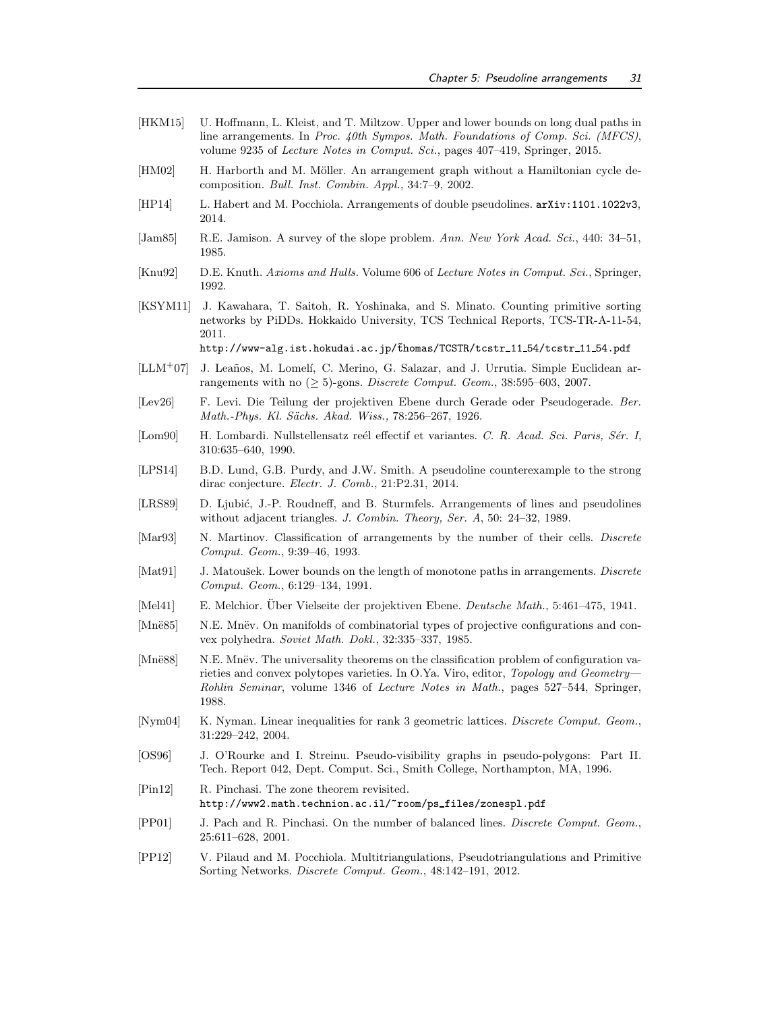- [HKM15] U. Hoffmann, L. Kleist, and T. Miltzow. Upper and lower bounds on long dual paths in line arrangements. In Proc. 40th Sympos. Math. Foundations of Comp. Sci. (MFCS), volume 9235 of Lecture Notes in Comput. Sci., pages 407–419, Springer, 2015.
- [HM02] H. Harborth and M. Möller. An arrangement graph without a Hamiltonian cycle decomposition. Bull. Inst. Combin. Appl., 34:7–9, 2002.
- [HP14] L. Habert and M. Pocchiola. Arrangements of double pseudolines. arXiv:1101.1022v3, 2014.
- [Jam85] R.E. Jamison. A survey of the slope problem. Ann. New York Acad. Sci., 440: 34–51, 1985.
- [Knu92] D.E. Knuth. Axioms and Hulls. Volume 606 of Lecture Notes in Comput. Sci., Springer, 1992.
- [KSYM11] J. Kawahara, T. Saitoh, R. Yoshinaka, and S. Minato. Counting primitive sorting networks by PiDDs. Hokkaido University, TCS Technical Reports, TCS-TR-A-11-54, 2011. http://www-alg.ist.hokudai.ac.jp/thomas/TCSTR/tcstr\_11\_54/tcstr\_11\_54.pdf
- $[LLM+07]$  J. Leaños, M. Lomelí, C. Merino, G. Salazar, and J. Urrutia. Simple Euclidean arrangements with no  $(\geq 5)$ -gons. Discrete Comput. Geom., 38:595–603, 2007.
- [Lev26] F. Levi. Die Teilung der projektiven Ebene durch Gerade oder Pseudogerade. Ber. Math.-Phys. Kl. Sächs. Akad. Wiss., 78:256-267, 1926.
- [Lom90] H. Lombardi. Nullstellensatz reél effectif et variantes. C. R. Acad. Sci. Paris, Sér. I, 310:635–640, 1990.
- [LPS14] B.D. Lund, G.B. Purdy, and J.W. Smith. A pseudoline counterexample to the strong dirac conjecture. Electr. J. Comb., 21:P2.31, 2014.
- [LRS89] D. Ljubić, J.-P. Roudneff, and B. Sturmfels. Arrangements of lines and pseudolines without adjacent triangles. J. Combin. Theory, Ser. A, 50: 24–32, 1989.
- [Mar93] N. Martinov. Classification of arrangements by the number of their cells. *Discrete* Comput. Geom., 9:39–46, 1993.
- [Mat91] J. Matoušek. Lower bounds on the length of monotone paths in arrangements. Discrete Comput. Geom., 6:129–134, 1991.
- [Mel41] E. Melchior. Über Vielseite der projektiven Ebene. Deutsche Math., 5:461–475, 1941.
- [Mnë85] N.E. Mnëv. On manifolds of combinatorial types of projective configurations and convex polyhedra. Soviet Math. Dokl., 32:335–337, 1985.
- [Mnë88] N.E. Mnëv. The universality theorems on the classification problem of configuration varieties and convex polytopes varieties. In O.Ya. Viro, editor, Topology and Geometry-Rohlin Seminar, volume 1346 of Lecture Notes in Math., pages 527–544, Springer, 1988.
- [Nym04] K. Nyman. Linear inequalities for rank 3 geometric lattices. Discrete Comput. Geom., 31:229–242, 2004.
- [OS96] J. O'Rourke and I. Streinu. Pseudo-visibility graphs in pseudo-polygons: Part II. Tech. Report 042, Dept. Comput. Sci., Smith College, Northampton, MA, 1996.
- [Pin12] R. Pinchasi. The zone theorem revisited. http://www2.math.technion.ac.il/~room/ps files/zonespl.pdf
- [PP01] J. Pach and R. Pinchasi. On the number of balanced lines. Discrete Comput. Geom., 25:611–628, 2001.
- [PP12] V. Pilaud and M. Pocchiola. Multitriangulations, Pseudotriangulations and Primitive Sorting Networks. Discrete Comput. Geom., 48:142–191, 2012.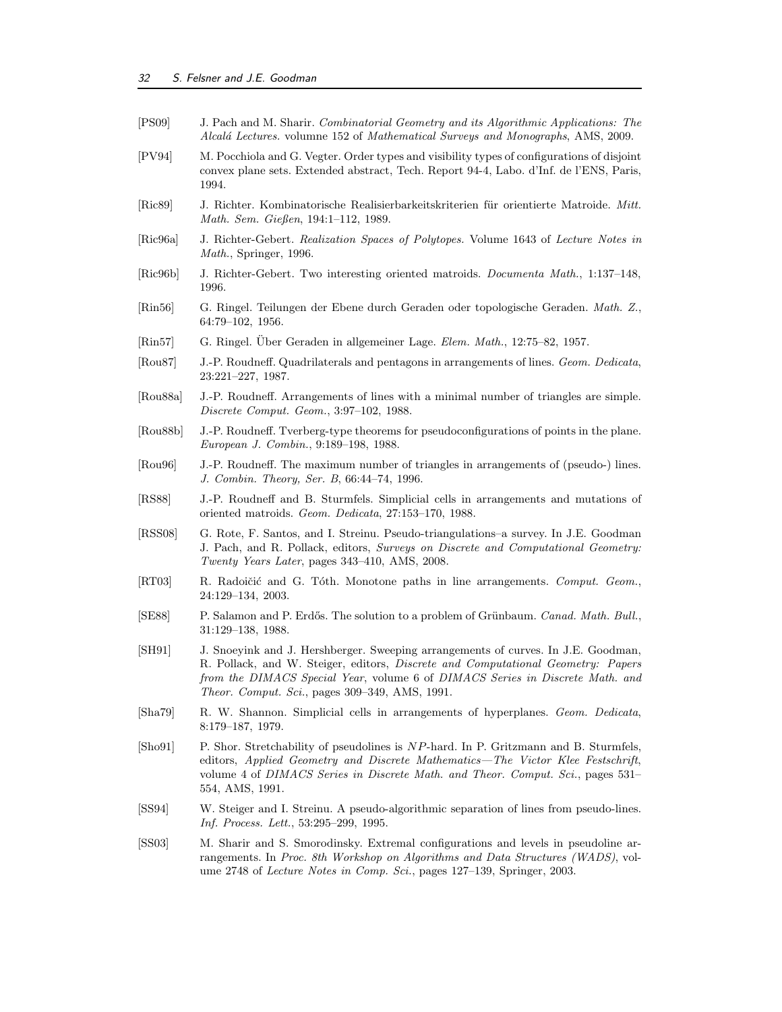| [PS09]                        | J. Pach and M. Sharir. Combinatorial Geometry and its Algorithmic Applications: The<br>Alcalá Lectures. volumne 152 of Mathematical Surveys and Monographs, AMS, 2009.                                                                                                                                          |
|-------------------------------|-----------------------------------------------------------------------------------------------------------------------------------------------------------------------------------------------------------------------------------------------------------------------------------------------------------------|
| [PV94]                        | M. Pocchiola and G. Vegter. Order types and visibility types of configurations of disjoint<br>convex plane sets. Extended abstract, Tech. Report 94-4, Labo. d'Inf. de l'ENS, Paris,<br>1994.                                                                                                                   |
| [Ric89]                       | J. Richter. Kombinatorische Realisierbarkeitskriterien für orientierte Matroide. Mitt.<br>Math. Sem. Gießen, 194:1-112, 1989.                                                                                                                                                                                   |
| [Ric96a]                      | J. Richter-Gebert. Realization Spaces of Polytopes. Volume 1643 of Lecture Notes in<br>Math., Springer, 1996.                                                                                                                                                                                                   |
| [Ric96b]                      | J. Richter-Gebert. Two interesting oriented matroids. <i>Documenta Math.</i> , 1:137-148,<br>1996.                                                                                                                                                                                                              |
| $\left[\text{Rin}56\right]$   | G. Ringel. Teilungen der Ebene durch Geraden oder topologische Geraden. Math. Z.,<br>$64:79-102, 1956.$                                                                                                                                                                                                         |
| $\left[\text{Rin}57\right]$   | G. Ringel. Über Geraden in allgemeiner Lage. Elem. Math., 12:75-82, 1957.                                                                                                                                                                                                                                       |
| $\left[ \text{Rou87} \right]$ | J.-P. Roudneff. Quadrilaterals and pentagons in arrangements of lines. Geom. Dedicata,<br>23:221-227, 1987.                                                                                                                                                                                                     |
| [Rou88a]                      | J.-P. Roudneff. Arrangements of lines with a minimal number of triangles are simple.<br>Discrete Comput. Geom., 3:97-102, 1988.                                                                                                                                                                                 |
| [Rou88b]                      | J.-P. Roudneff. Tverberg-type theorems for pseudoconfigurations of points in the plane.<br>European J. Combin., 9:189-198, 1988.                                                                                                                                                                                |
| [Rou96]                       | J.-P. Roudneff. The maximum number of triangles in arrangements of (pseudo-) lines.<br>J. Combin. Theory, Ser. B, 66:44-74, 1996.                                                                                                                                                                               |
| [RS88]                        | J.-P. Roudneff and B. Sturmfels. Simplicial cells in arrangements and mutations of<br>oriented matroids. Geom. Dedicata, 27:153-170, 1988.                                                                                                                                                                      |
| [RSS08]                       | G. Rote, F. Santos, and I. Streinu. Pseudo-triangulations-a survey. In J.E. Goodman<br>J. Pach, and R. Pollack, editors, Surveys on Discrete and Computational Geometry:<br>Twenty Years Later, pages 343-410, AMS, 2008.                                                                                       |
| $\left[\text{RT03}\right]$    | R. Radoičić and G. Tóth. Monotone paths in line arrangements. Comput. Geom.,<br>24:129-134, 2003.                                                                                                                                                                                                               |
| [SE88]                        | P. Salamon and P. Erdős. The solution to a problem of Grünbaum. Canad. Math. Bull.,<br>31:129-138, 1988.                                                                                                                                                                                                        |
| [SH91]                        | J. Snoeyink and J. Hershberger. Sweeping arrangements of curves. In J.E. Goodman,<br>R. Pollack, and W. Steiger, editors, <i>Discrete and Computational Geometry: Papers</i><br>from the DIMACS Special Year, volume 6 of DIMACS Series in Discrete Math. and<br>Theor. Comput. Sci., pages 309-349, AMS, 1991. |
| [Sha79]                       | R. W. Shannon. Simplicial cells in arrangements of hyperplanes. Geom. Dedicata,<br>8:179-187, 1979.                                                                                                                                                                                                             |
| [Sho91]                       | P. Shor. Stretchability of pseudolines is NP-hard. In P. Gritzmann and B. Sturmfels,<br>editors, Applied Geometry and Discrete Mathematics—The Victor Klee Festschrift,<br>volume 4 of DIMACS Series in Discrete Math. and Theor. Comput. Sci., pages 531–<br>554, AMS, 1991.                                   |
| SS94                          | W. Steiger and I. Streinu. A pseudo-algorithmic separation of lines from pseudo-lines.<br><i>Inf. Process. Lett.</i> , 53:295-299, 1995.                                                                                                                                                                        |
| [SS03]                        | M. Sharir and S. Smorodinsky. Extremal configurations and levels in pseudoline ar-<br>rangements. In Proc. 8th Workshop on Algorithms and Data Structures (WADS), vol-<br>ume 2748 of Lecture Notes in Comp. Sci., pages 127-139, Springer, 2003.                                                               |